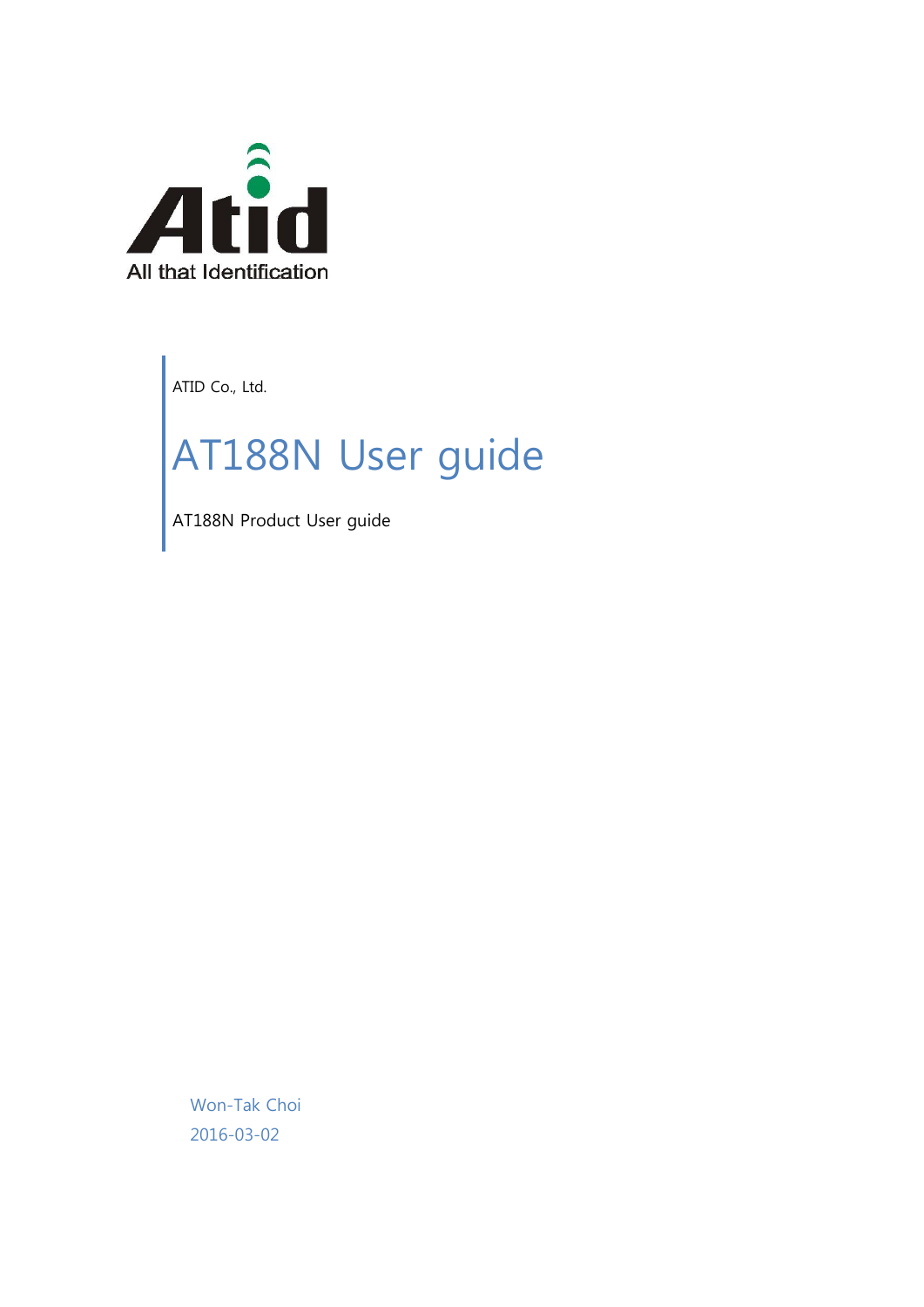

ATID Co., Ltd.

# AT188N User guide

AT188N Product User guide

Won-Tak Choi 2016-03-02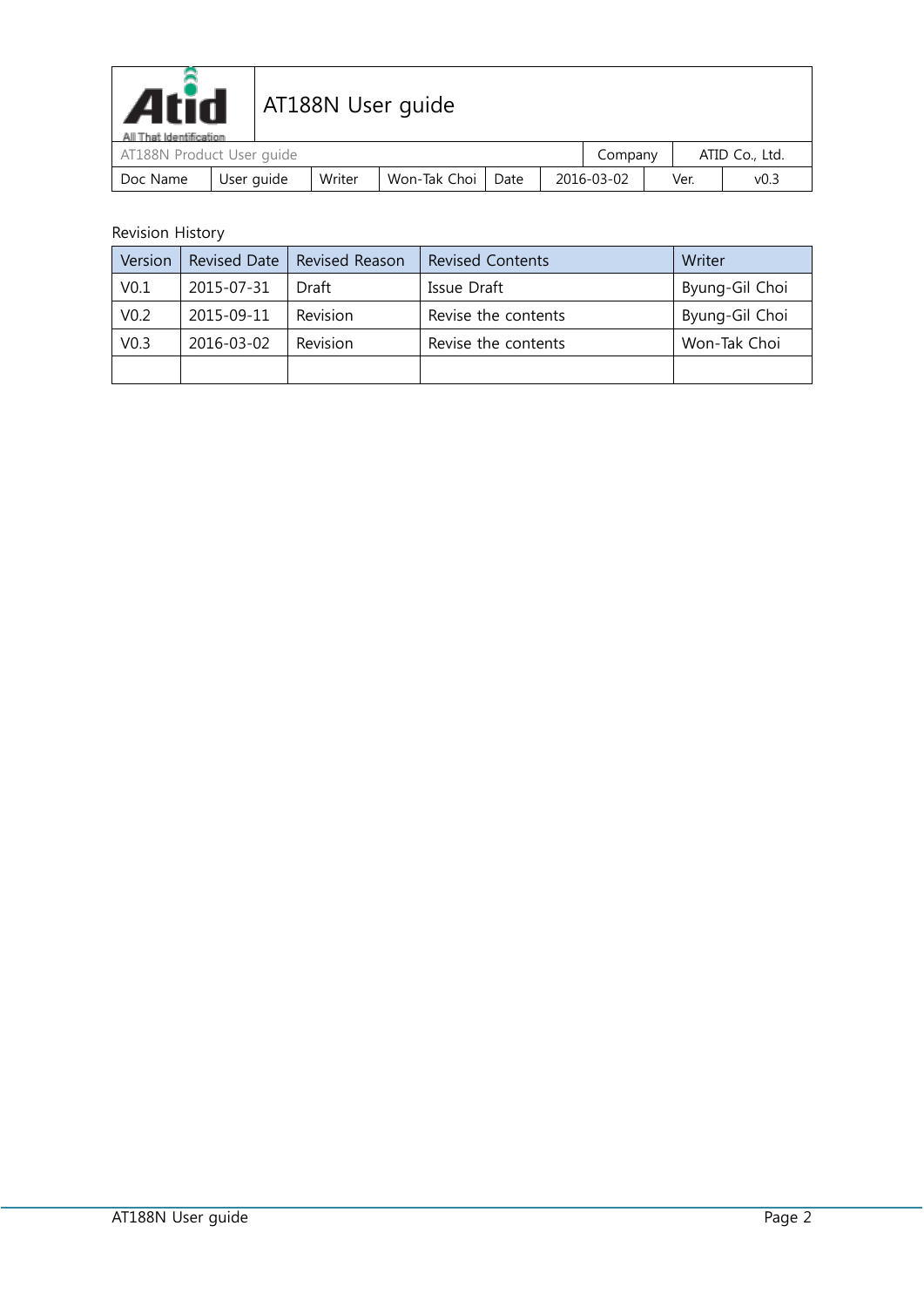

| All That Identification   |            |        |                |      |  |            |      |                |  |
|---------------------------|------------|--------|----------------|------|--|------------|------|----------------|--|
| AT188N Product User guide |            |        |                |      |  | Company    |      | ATID Co., Ltd. |  |
| Doc Name                  | User auide | Writer | Won-Tak Choi I | Date |  | 2016-03-02 | Ver. | v0.3           |  |

#### Revision History

| Version          | <b>Revised Date</b> | <b>Revised Reason</b> | <b>Revised Contents</b> | Writer         |
|------------------|---------------------|-----------------------|-------------------------|----------------|
| V <sub>0.1</sub> | 2015-07-31          | Draft                 | Issue Draft             | Byung-Gil Choi |
| V <sub>0.2</sub> | 2015-09-11          | Revision              | Revise the contents     | Byung-Gil Choi |
| V <sub>0.3</sub> | 2016-03-02          | Revision              | Revise the contents     | Won-Tak Choi   |
|                  |                     |                       |                         |                |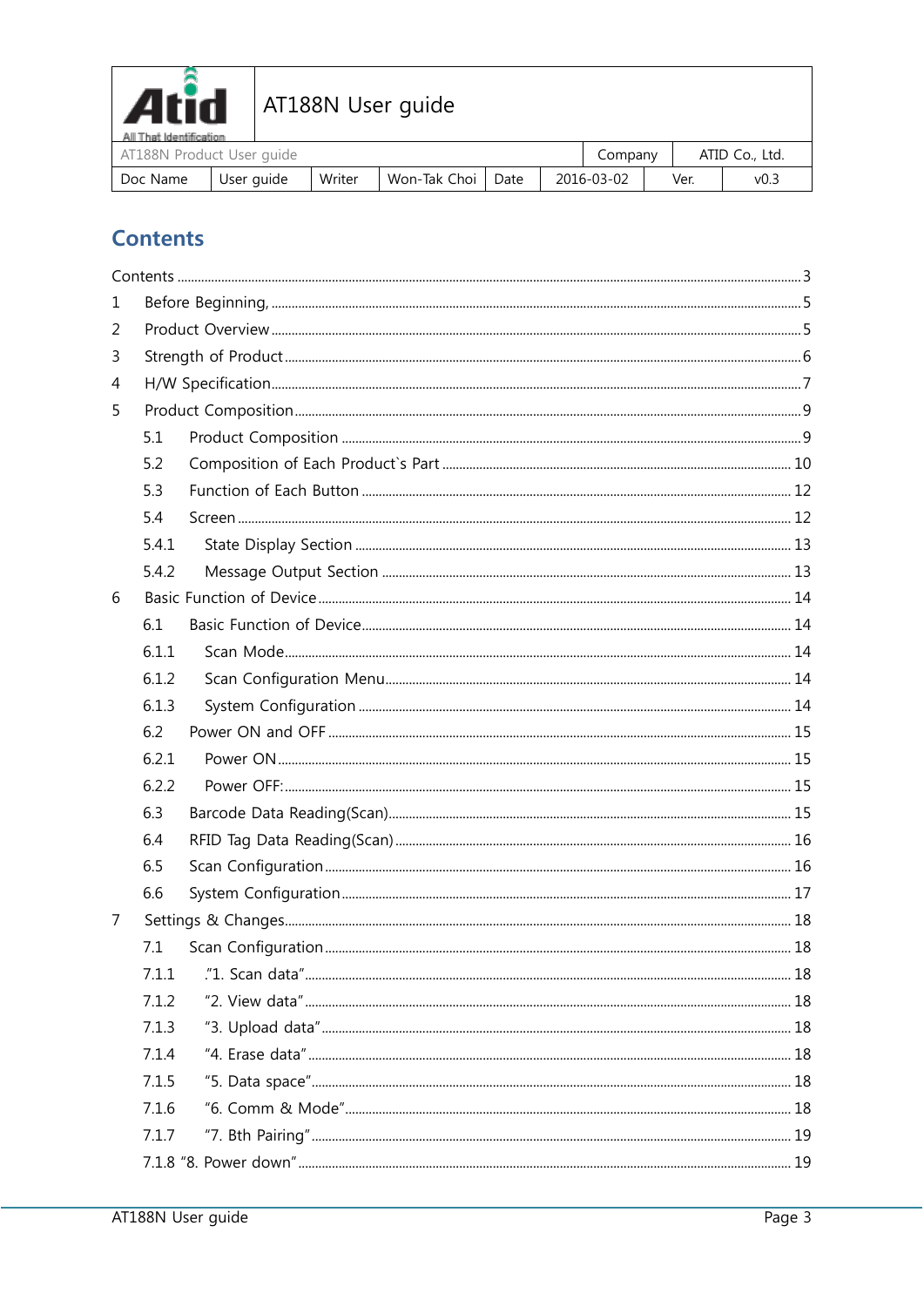

| AT THE NETHING OF<br>AT188N Product User quide |            |        |                     |  | company    |      | ATID Co., Ltd. |
|------------------------------------------------|------------|--------|---------------------|--|------------|------|----------------|
| Doc Name                                       | User auide | Writer | Won-Tak Choi   Date |  | 2016-03-02 | Ver. | v0.3           |

# <span id="page-2-0"></span>**Contents**

| 1 |       |  |  |  |  |  |  |
|---|-------|--|--|--|--|--|--|
| 2 |       |  |  |  |  |  |  |
| 3 |       |  |  |  |  |  |  |
| 4 |       |  |  |  |  |  |  |
| 5 |       |  |  |  |  |  |  |
|   | 5.1   |  |  |  |  |  |  |
|   | 5.2   |  |  |  |  |  |  |
|   | 5.3   |  |  |  |  |  |  |
|   | 5.4   |  |  |  |  |  |  |
|   | 5.4.1 |  |  |  |  |  |  |
|   | 5.4.2 |  |  |  |  |  |  |
| 6 |       |  |  |  |  |  |  |
|   | 6.1   |  |  |  |  |  |  |
|   | 6.1.1 |  |  |  |  |  |  |
|   | 6.1.2 |  |  |  |  |  |  |
|   | 6.1.3 |  |  |  |  |  |  |
|   | 6.2   |  |  |  |  |  |  |
|   | 6.2.1 |  |  |  |  |  |  |
|   | 6.2.2 |  |  |  |  |  |  |
|   | 6.3   |  |  |  |  |  |  |
|   | 6.4   |  |  |  |  |  |  |
|   | 6.5   |  |  |  |  |  |  |
|   | 6.6   |  |  |  |  |  |  |
| 7 |       |  |  |  |  |  |  |
|   | 7.1   |  |  |  |  |  |  |
|   | 7.1.1 |  |  |  |  |  |  |
|   | 7.1.2 |  |  |  |  |  |  |
|   | 7.1.3 |  |  |  |  |  |  |
|   | 7.1.4 |  |  |  |  |  |  |
|   | 7.1.5 |  |  |  |  |  |  |
|   | 7.1.6 |  |  |  |  |  |  |
|   | 7.1.7 |  |  |  |  |  |  |
|   |       |  |  |  |  |  |  |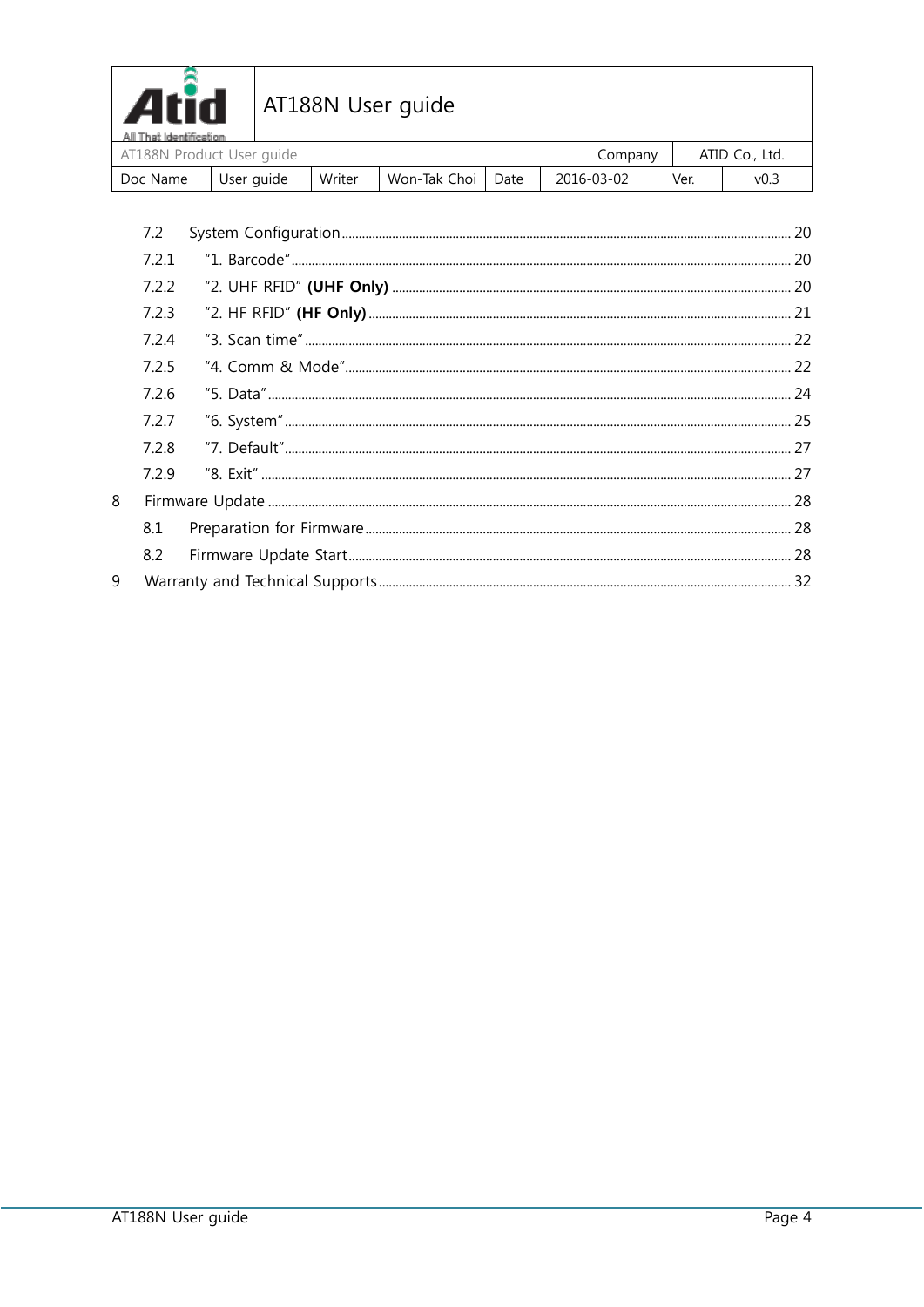

| All I hat Identification<br>AT188N Product User quide |            |        |                     |  | Company    |      | ATID Co., Ltd. |
|-------------------------------------------------------|------------|--------|---------------------|--|------------|------|----------------|
| Doc Name                                              | User guide | Writer | Won-Tak Choi   Date |  | 2016-03-02 | Ver. | V0.3           |

| 7.2   |  |
|-------|--|
| 7.2.1 |  |
| 7.2.2 |  |
| 7.2.3 |  |
| 7.24  |  |
| 7.2.5 |  |
| 7.2.6 |  |
| 7.2.7 |  |
| 7.2.8 |  |
| 7.2.9 |  |
|       |  |
| 8.1   |  |
| 8.2   |  |
|       |  |
|       |  |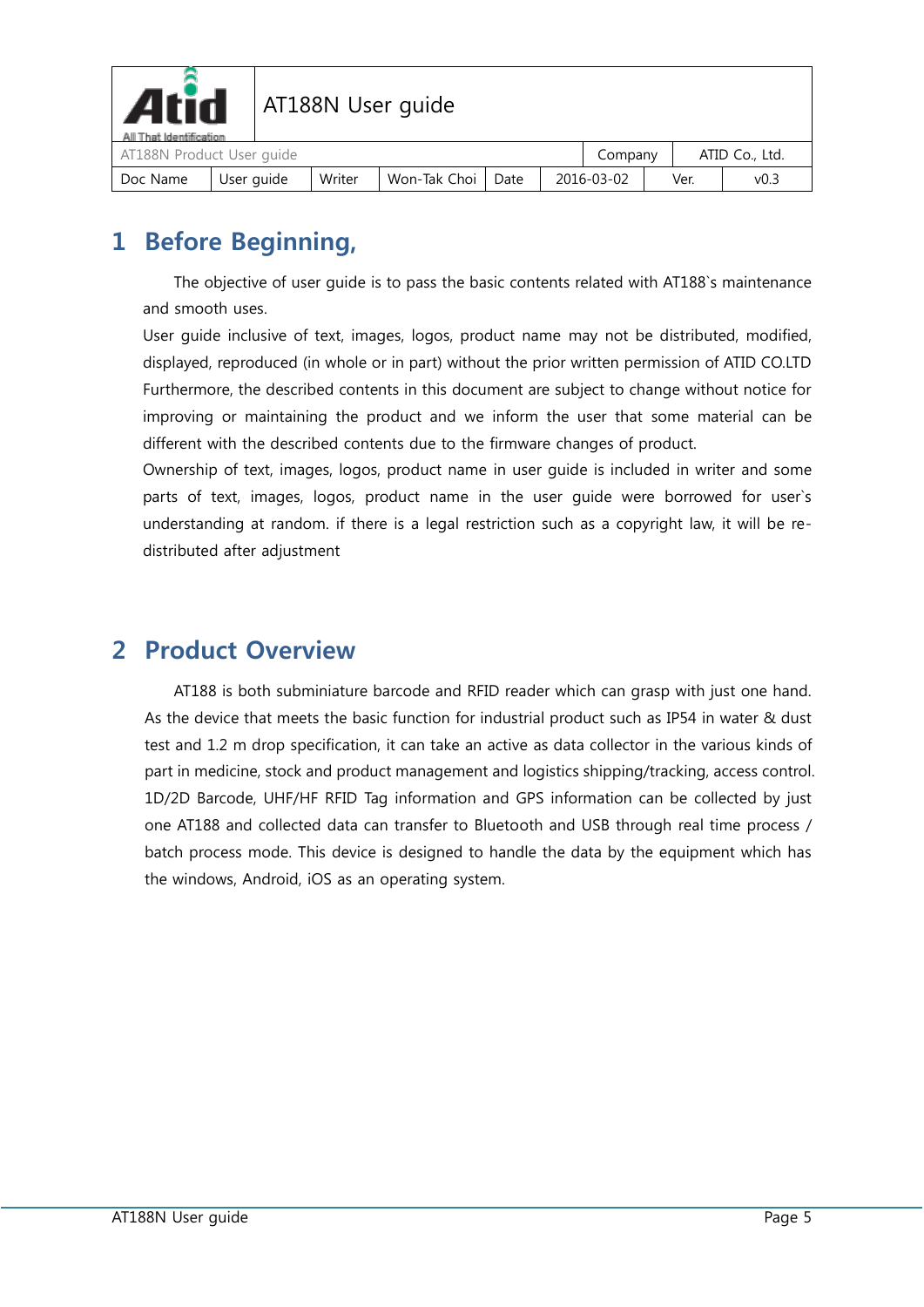

| All That Identification<br>AT188N Product User guide |            |        |                     |  | Company    |      | ATID Co., Ltd. |  |
|------------------------------------------------------|------------|--------|---------------------|--|------------|------|----------------|--|
| Doc Name                                             | User guide | Writer | Won-Tak Choi   Date |  | 2016-03-02 | Ver. | v0.3           |  |

# <span id="page-4-0"></span>**1 Before Beginning,**

The objective of user guide is to pass the basic contents related with AT188`s maintenance and smooth uses.

User guide inclusive of text, images, logos, product name may not be distributed, modified, displayed, reproduced (in whole or in part) without the prior written permission of ATID CO.LTD Furthermore, the described contents in this document are subject to change without notice for improving or maintaining the product and we inform the user that some material can be different with the described contents due to the firmware changes of product.

Ownership of text, images, logos, product name in user guide is included in writer and some parts of text, images, logos, product name in the user guide were borrowed for user`s understanding at random. if there is a legal restriction such as a copyright law, it will be redistributed after adjustment

## <span id="page-4-1"></span>**2 Product Overview**

AT188 is both subminiature barcode and RFID reader which can grasp with just one hand. As the device that meets the basic function for industrial product such as IP54 in water & dust test and 1.2 m drop specification, it can take an active as data collector in the various kinds of part in medicine, stock and product management and logistics shipping/tracking, access control. 1D/2D Barcode, UHF/HF RFID Tag information and GPS information can be collected by just one AT188 and collected data can transfer to Bluetooth and USB through real time process / batch process mode. This device is designed to handle the data by the equipment which has the windows, Android, iOS as an operating system.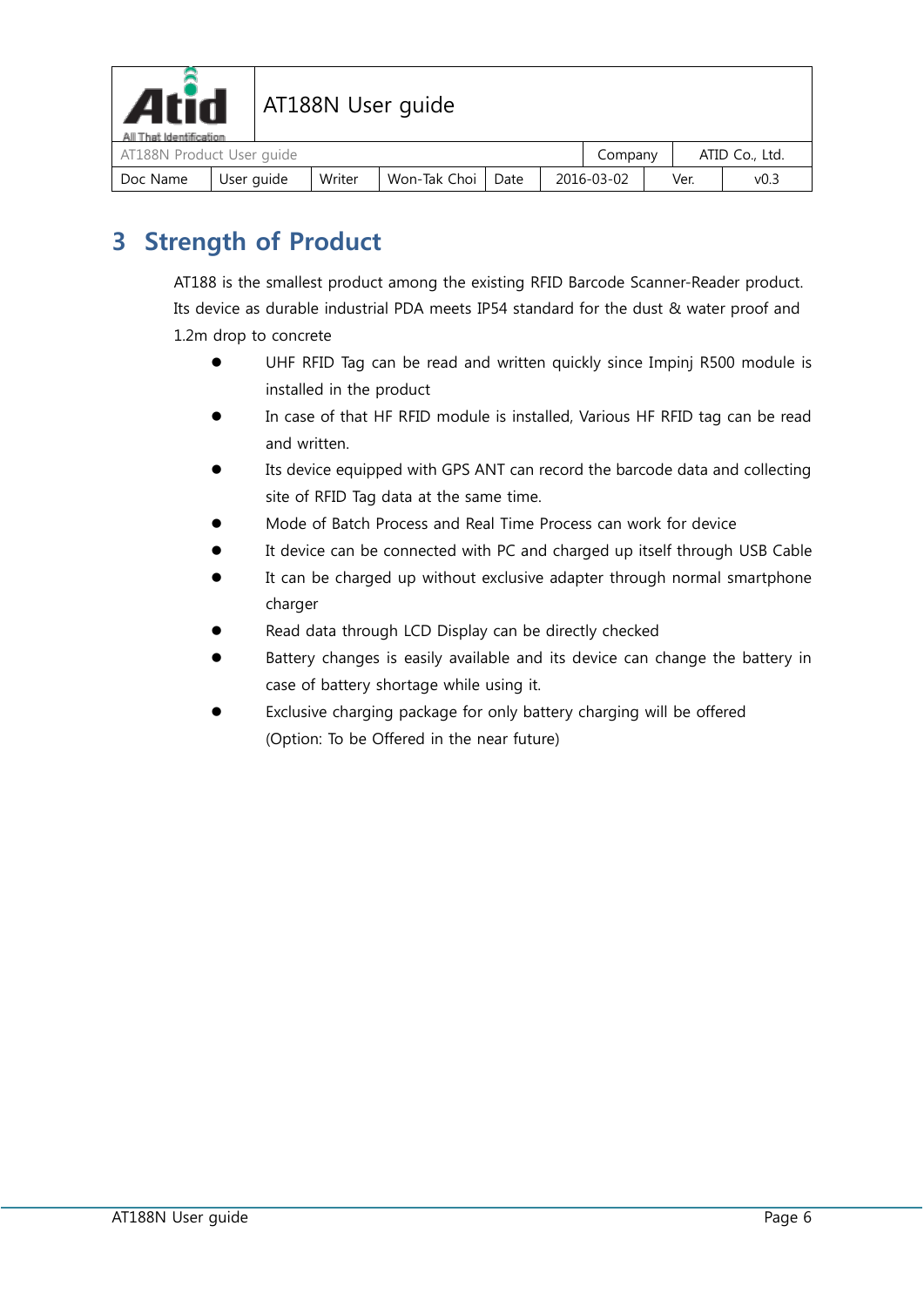

| All I hat identification<br>AT188N Product User quide |            |        |                     |  | Company    |      | ATID Co., Ltd. |
|-------------------------------------------------------|------------|--------|---------------------|--|------------|------|----------------|
| Doc Name                                              | User guide | Writer | Won-Tak Choi   Date |  | 2016-03-02 | Ver. | v0.3           |

# <span id="page-5-0"></span>**3 Strength of Product**

AT188 is the smallest product among the existing RFID Barcode Scanner-Reader product. Its device as durable industrial PDA meets IP54 standard for the dust & water proof and 1.2m drop to concrete

- UHF RFID Tag can be read and written quickly since Impinj R500 module is installed in the product
- In case of that HF RFID module is installed, Various HF RFID tag can be read and written.
- Its device equipped with GPS ANT can record the barcode data and collecting site of RFID Tag data at the same time.
- Mode of Batch Process and Real Time Process can work for device
- It device can be connected with PC and charged up itself through USB Cable
- It can be charged up without exclusive adapter through normal smartphone charger
- Read data through LCD Display can be directly checked
- Battery changes is easily available and its device can change the battery in case of battery shortage while using it.
- Exclusive charging package for only battery charging will be offered (Option: To be Offered in the near future)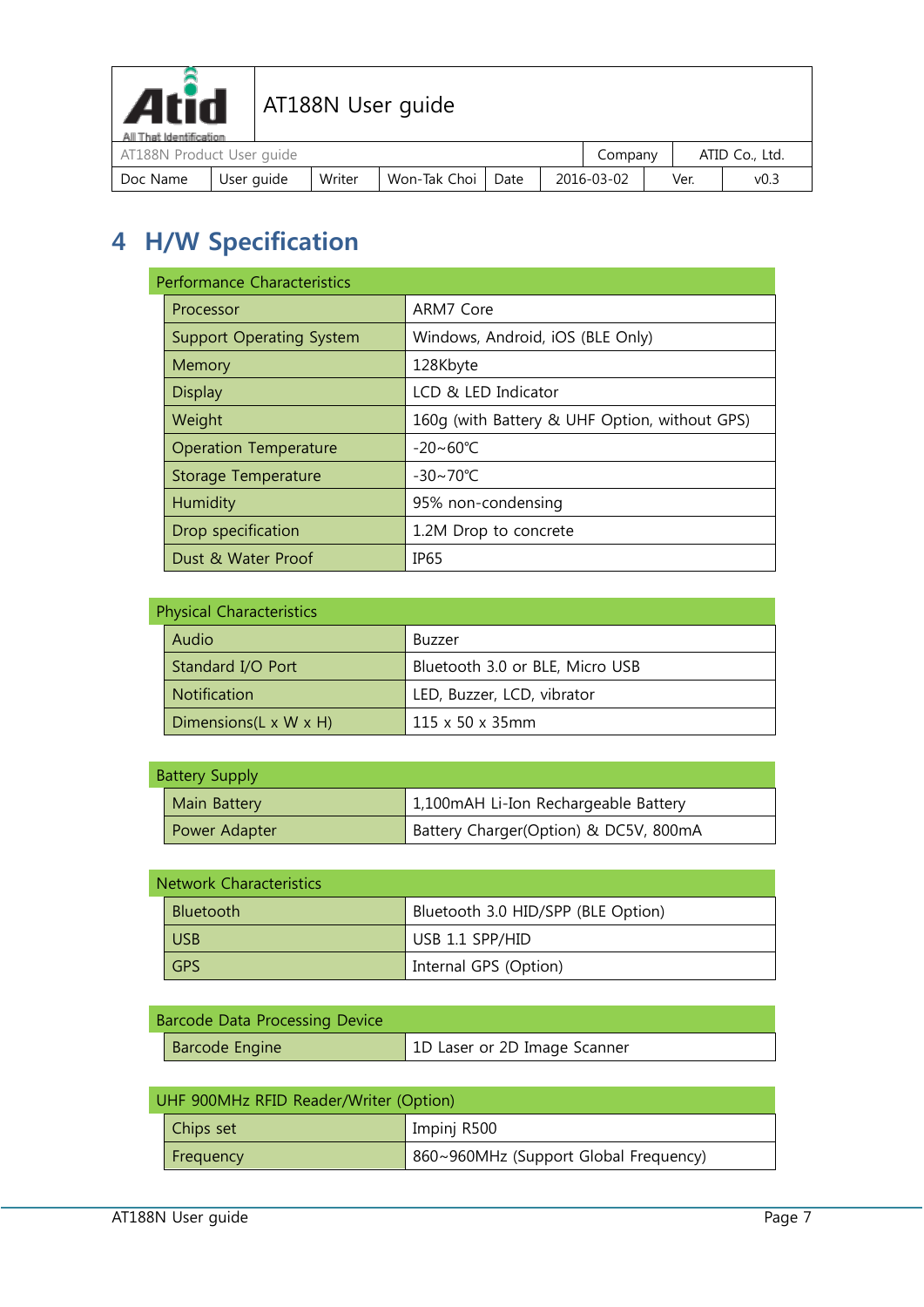

| Doc Name                                               | User guide | Writer | Won-Tak Choi   Date |  |  | 2016-03-02 |  | Ver. | V0.3 |  |
|--------------------------------------------------------|------------|--------|---------------------|--|--|------------|--|------|------|--|
| ATID Co., Ltd.<br>AT188N Product User guide<br>Company |            |        |                     |  |  |            |  |      |      |  |
| All That Identification                                |            |        |                     |  |  |            |  |      |      |  |

# <span id="page-6-0"></span>**4 H/W Specification**

| <b>Performance Characteristics</b> |                                               |  |  |  |  |
|------------------------------------|-----------------------------------------------|--|--|--|--|
| Processor                          | ARM7 Core                                     |  |  |  |  |
| <b>Support Operating System</b>    | Windows, Android, iOS (BLE Only)              |  |  |  |  |
| Memory                             | 128Kbyte                                      |  |  |  |  |
| <b>Display</b>                     | LCD & LED Indicator                           |  |  |  |  |
| Weight                             | 160q (with Battery & UHF Option, without GPS) |  |  |  |  |
| <b>Operation Temperature</b>       | $-20 \sim 60^{\circ}$ C                       |  |  |  |  |
| Storage Temperature                | $-30 - 70^{\circ}$ C                          |  |  |  |  |
| Humidity                           | 95% non-condensing                            |  |  |  |  |
| Drop specification                 | 1.2M Drop to concrete                         |  |  |  |  |
| Dust & Water Proof                 | IP <sub>65</sub>                              |  |  |  |  |

#### $P<sub>b</sub>$  value of  $P<sub>b</sub>$

| Physical Characteristics            |                                 |  |  |  |
|-------------------------------------|---------------------------------|--|--|--|
| Audio                               | Buzzer                          |  |  |  |
| Standard I/O Port                   | Bluetooth 3.0 or BLE, Micro USB |  |  |  |
| Notification                        | LED, Buzzer, LCD, vibrator      |  |  |  |
| Dimensions( $L \times W \times H$ ) | $115 \times 50 \times 35$ mm    |  |  |  |

| <b>Battery Supply</b> |                                       |
|-----------------------|---------------------------------------|
| Main Battery          | 1,100mAH Li-Ion Rechargeable Battery  |
| Power Adapter         | Battery Charger(Option) & DC5V, 800mA |

#### $\sim$ Network Characteristics Characteristics Characteristics Characteristics Characteristics Characteristics Characteristics Characteristics Characteristics Characteristics Characteristics Characteristics Characteristics C

| INCLWUIK CHAIACLEHSLICS |                                    |  |  |  |  |  |
|-------------------------|------------------------------------|--|--|--|--|--|
| <b>Bluetooth</b>        | Bluetooth 3.0 HID/SPP (BLE Option) |  |  |  |  |  |
| <b>USB</b>              | USB 1.1 SPP/HID                    |  |  |  |  |  |
| <b>GPS</b>              | Internal GPS (Option)              |  |  |  |  |  |

| <b>Barcode Data Processing Device</b> |                              |
|---------------------------------------|------------------------------|
| <b>Barcode Engine</b>                 | 1D Laser or 2D Image Scanner |

| UHF 900MHz RFID Reader/Writer (Option) |                                       |  |  |  |  |  |  |
|----------------------------------------|---------------------------------------|--|--|--|--|--|--|
| Chips set                              | Impinj R500                           |  |  |  |  |  |  |
| Frequency                              | 860~960MHz (Support Global Frequency) |  |  |  |  |  |  |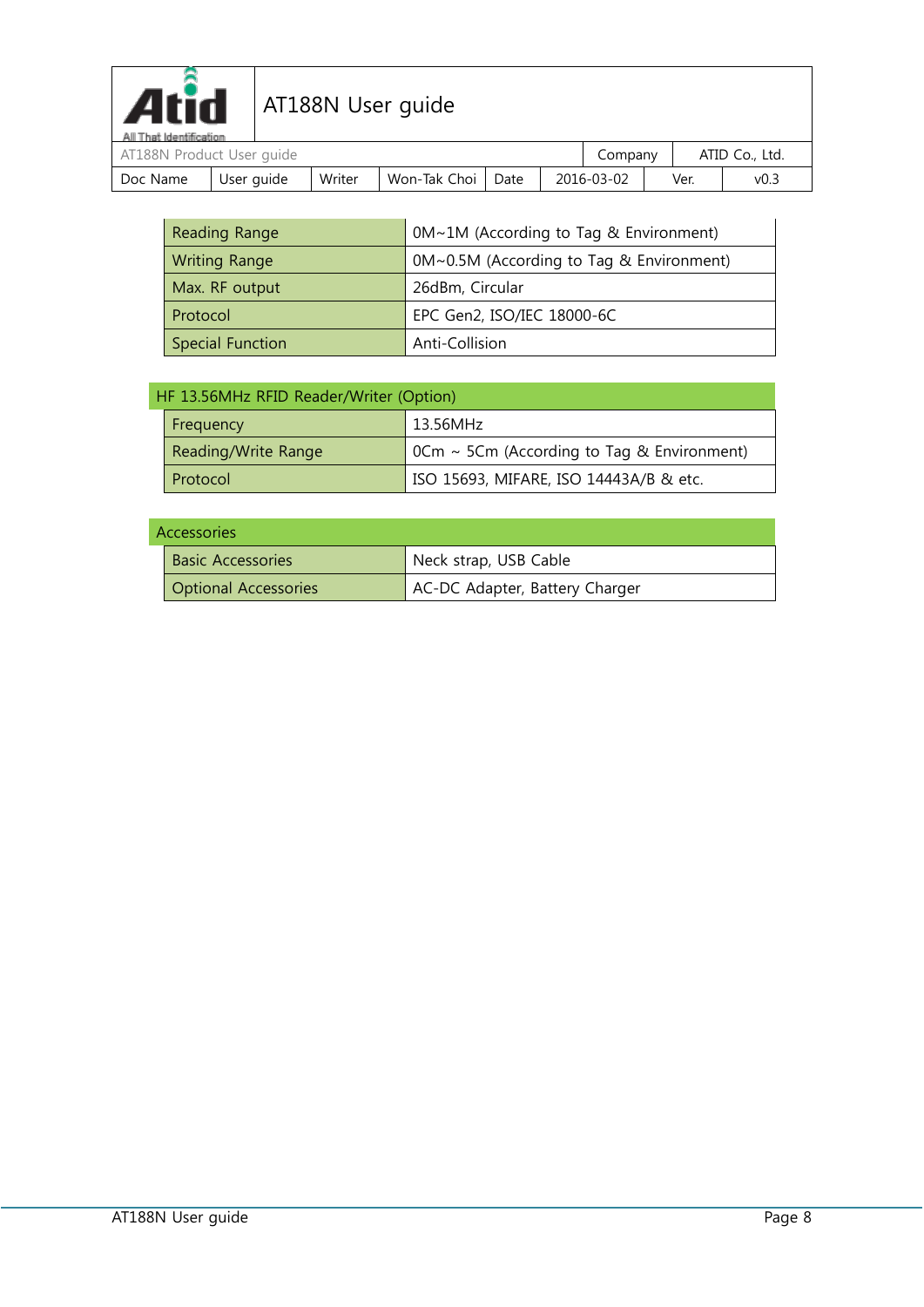

| All I hat Identification<br>AT188N Product User guide |            |        |                     |  |            |  | Company |      | ATID Co., Ltd. |  |
|-------------------------------------------------------|------------|--------|---------------------|--|------------|--|---------|------|----------------|--|
| Doc Name                                              | User guide | Writer | Won-Tak Choi   Date |  | 2016-03-02 |  |         | Ver. | V0.3           |  |

| Reading Range           | 0M~1M (According to Tag & Environment)   |
|-------------------------|------------------------------------------|
| <b>Writing Range</b>    | 0M~0.5M (According to Tag & Environment) |
| Max. RF output          | 26dBm, Circular                          |
| Protocol                | EPC Gen2, ISO/IEC 18000-6C               |
| <b>Special Function</b> | Anti-Collision                           |

| HF 13.56MHz RFID Reader/Writer (Option) |                     |                                                                 |  |  |  |  |
|-----------------------------------------|---------------------|-----------------------------------------------------------------|--|--|--|--|
|                                         | Frequency           | 13.56MHz                                                        |  |  |  |  |
|                                         | Reading/Write Range | $0 \text{cm} \sim 5 \text{cm}$ (According to Tag & Environment) |  |  |  |  |
|                                         | Protocol            | ISO 15693, MIFARE, ISO 14443A/B & etc.                          |  |  |  |  |

#### Accessories

| 15553301163                 |                                |  |  |  |  |  |  |
|-----------------------------|--------------------------------|--|--|--|--|--|--|
| <b>Basic Accessories</b>    | Neck strap, USB Cable          |  |  |  |  |  |  |
| <b>Optional Accessories</b> | AC-DC Adapter, Battery Charger |  |  |  |  |  |  |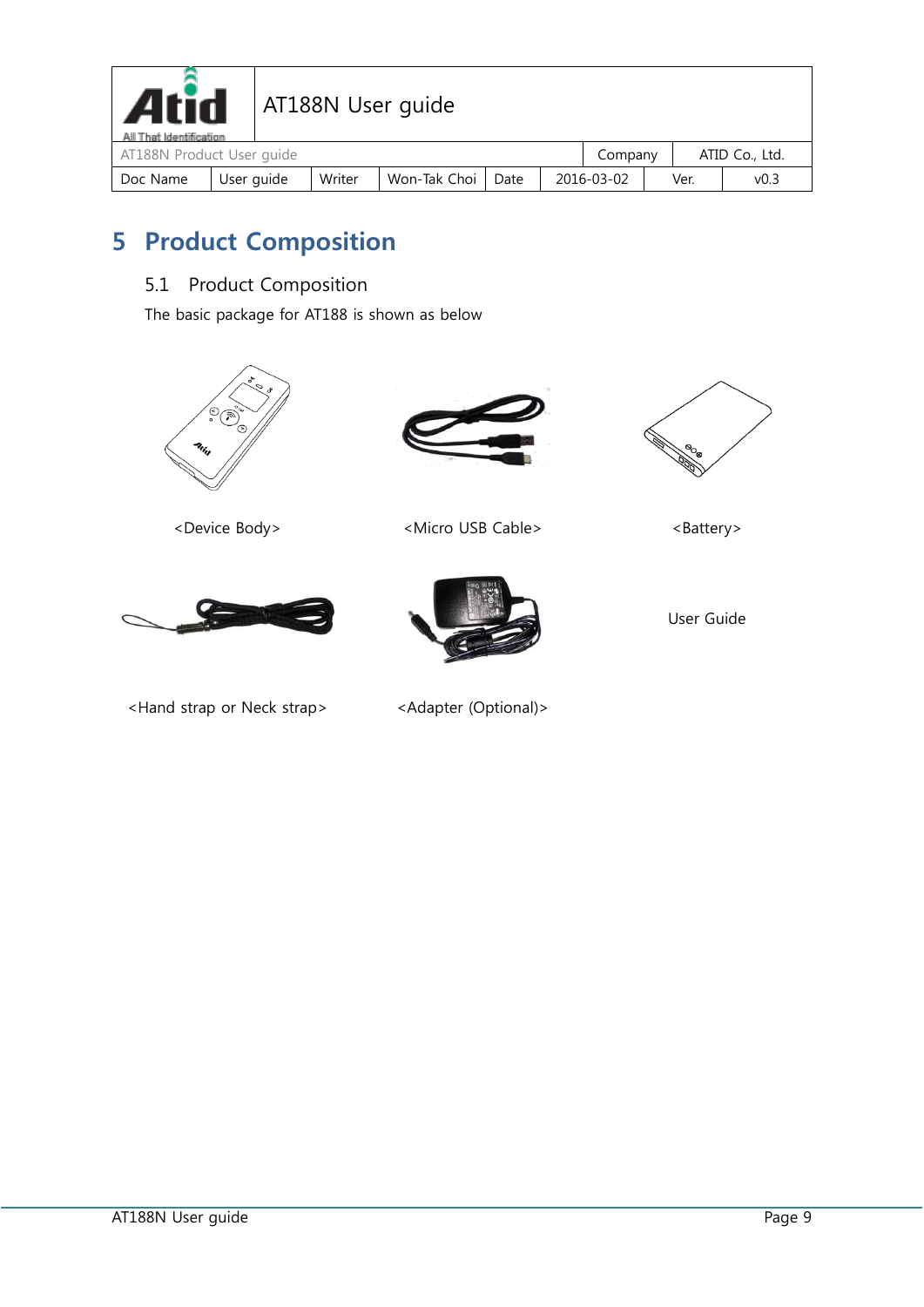

| All That Identification   |            |        |                |      |            |  |      |      |  |
|---------------------------|------------|--------|----------------|------|------------|--|------|------|--|
| AT188N Product User guide | company    |        | ATID Co., Ltd. |      |            |  |      |      |  |
| Doc Name                  | User auide | Writer | Won-Tak Choi   | Date | 2016-03-02 |  | Ver. | v0.3 |  |

# <span id="page-8-0"></span>**5 Product Composition**

### <span id="page-8-1"></span>5.1 Product Composition

The basic package for AT188 is shown as below







User Guide



<Hand strap or Neck strap> <Adapter (Optional)>



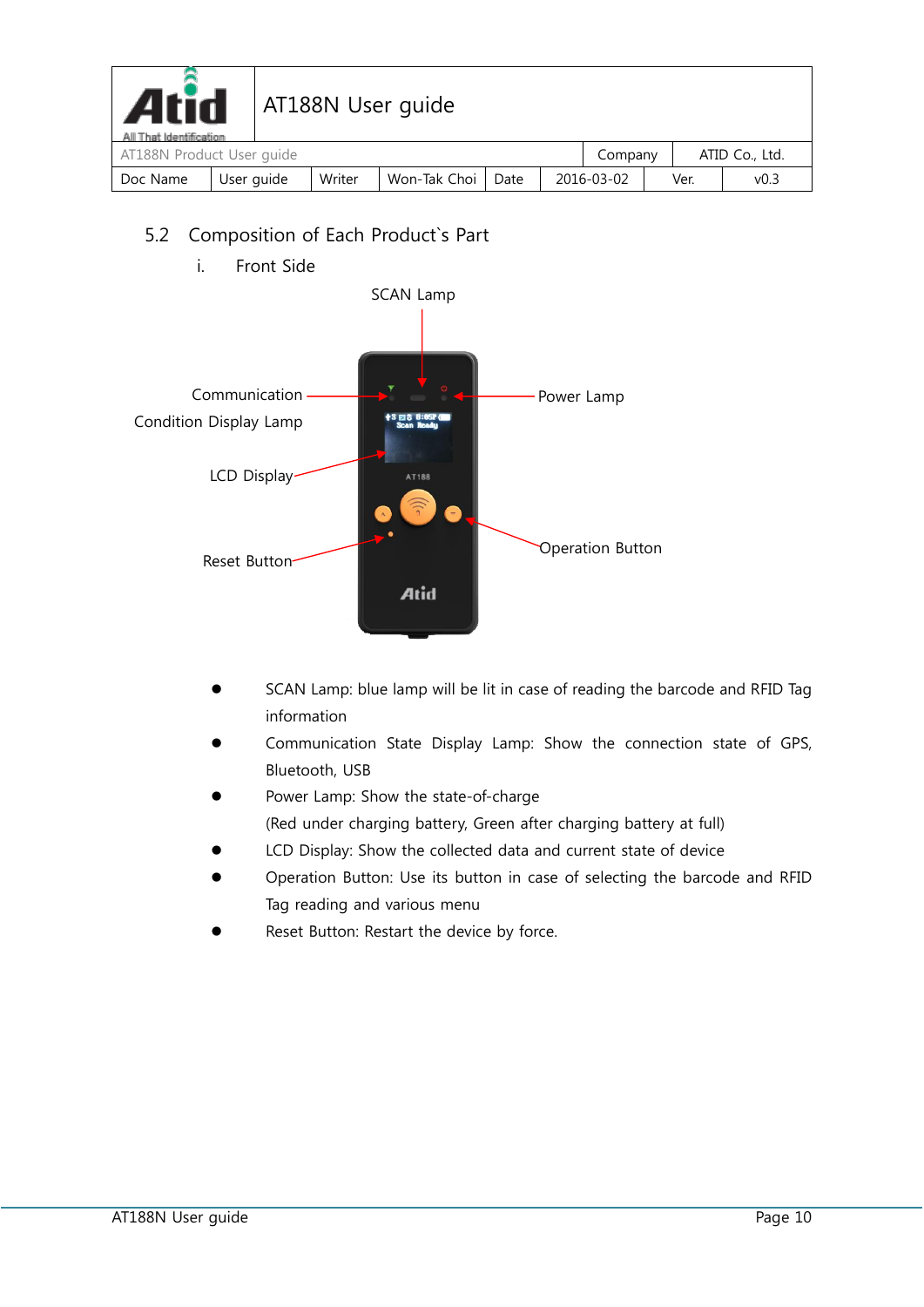

| All That Identification   |            |        |                |      |  |            |  |                |      |  |
|---------------------------|------------|--------|----------------|------|--|------------|--|----------------|------|--|
| AT188N Product User quide |            |        |                |      |  | Company    |  | ATID Co., Ltd. |      |  |
| Doc Name                  | User auide | Writer | Won-Tak Choi I | Date |  | 2016-03-02 |  | Ver.           | v0.3 |  |

### <span id="page-9-0"></span>5.2 Composition of Each Product`s Part

i. Front Side



- SCAN Lamp: blue lamp will be lit in case of reading the barcode and RFID Tag information
- Communication State Display Lamp: Show the connection state of GPS, Bluetooth, USB
- Power Lamp: Show the state-of-charge (Red under charging battery, Green after charging battery at full)
- LCD Display: Show the collected data and current state of device
- Operation Button: Use its button in case of selecting the barcode and RFID Tag reading and various menu
- Reset Button: Restart the device by force.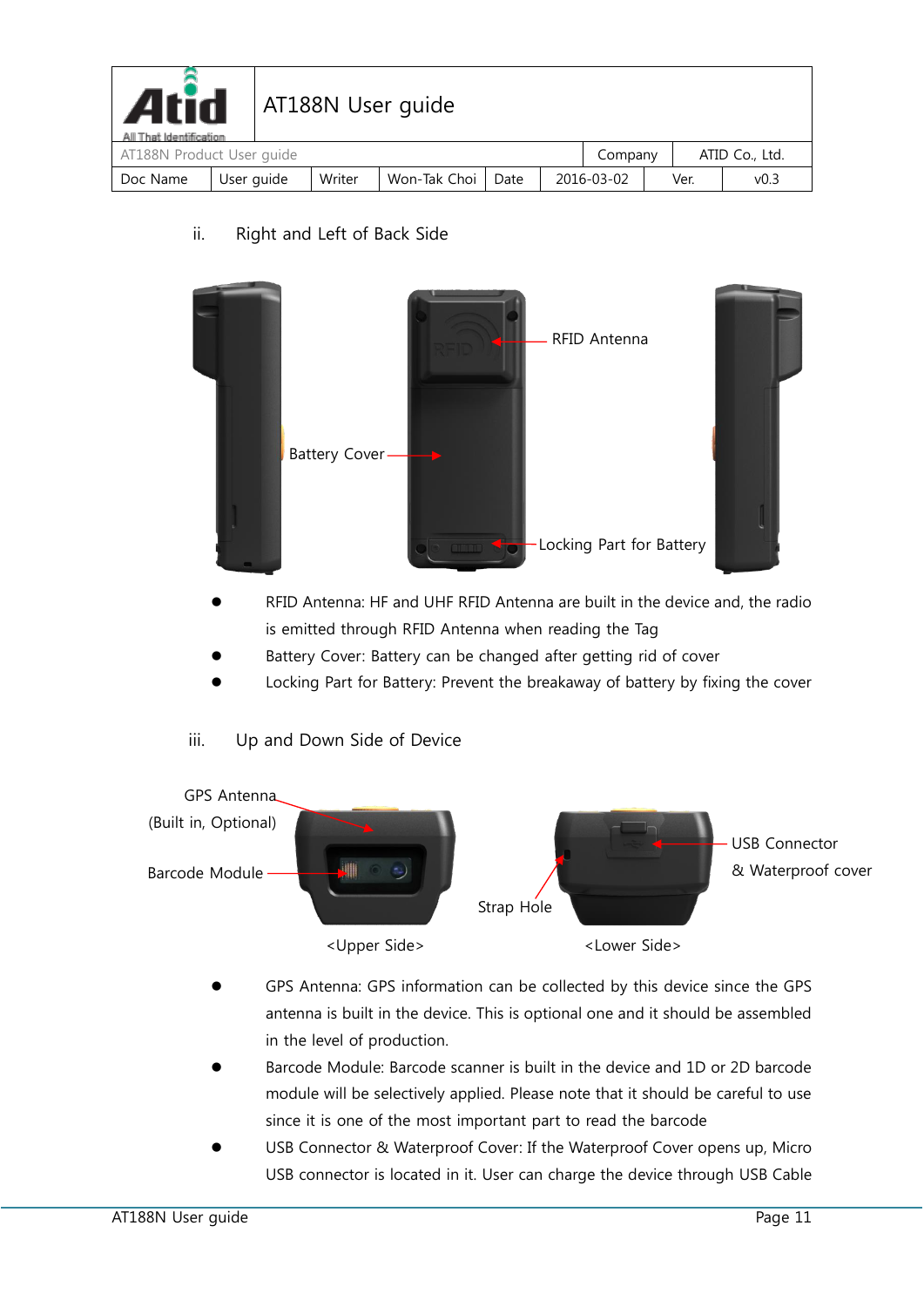| <b>Atid</b><br>AT188N User guide<br>All That Identification |            |        |              |      |  |            |         |      |                |
|-------------------------------------------------------------|------------|--------|--------------|------|--|------------|---------|------|----------------|
| AT188N Product User quide                                   |            |        |              |      |  |            | Company |      | ATID Co., Ltd. |
| Doc Name                                                    | User guide | Writer | Won-Tak Choi | Date |  | 2016-03-02 |         | Ver. | v0.3           |

ii. Right and Left of Back Side



- RFID Antenna: HF and UHF RFID Antenna are built in the device and, the radio is emitted through RFID Antenna when reading the Tag
- Battery Cover: Battery can be changed after getting rid of cover
- Locking Part for Battery: Prevent the breakaway of battery by fixing the cover
- iii. Up and Down Side of Device



- GPS Antenna: GPS information can be collected by this device since the GPS antenna is built in the device. This is optional one and it should be assembled in the level of production.
- Barcode Module: Barcode scanner is built in the device and 1D or 2D barcode module will be selectively applied. Please note that it should be careful to use since it is one of the most important part to read the barcode
- USB Connector & Waterproof Cover: If the Waterproof Cover opens up, Micro USB connector is located in it. User can charge the device through USB Cable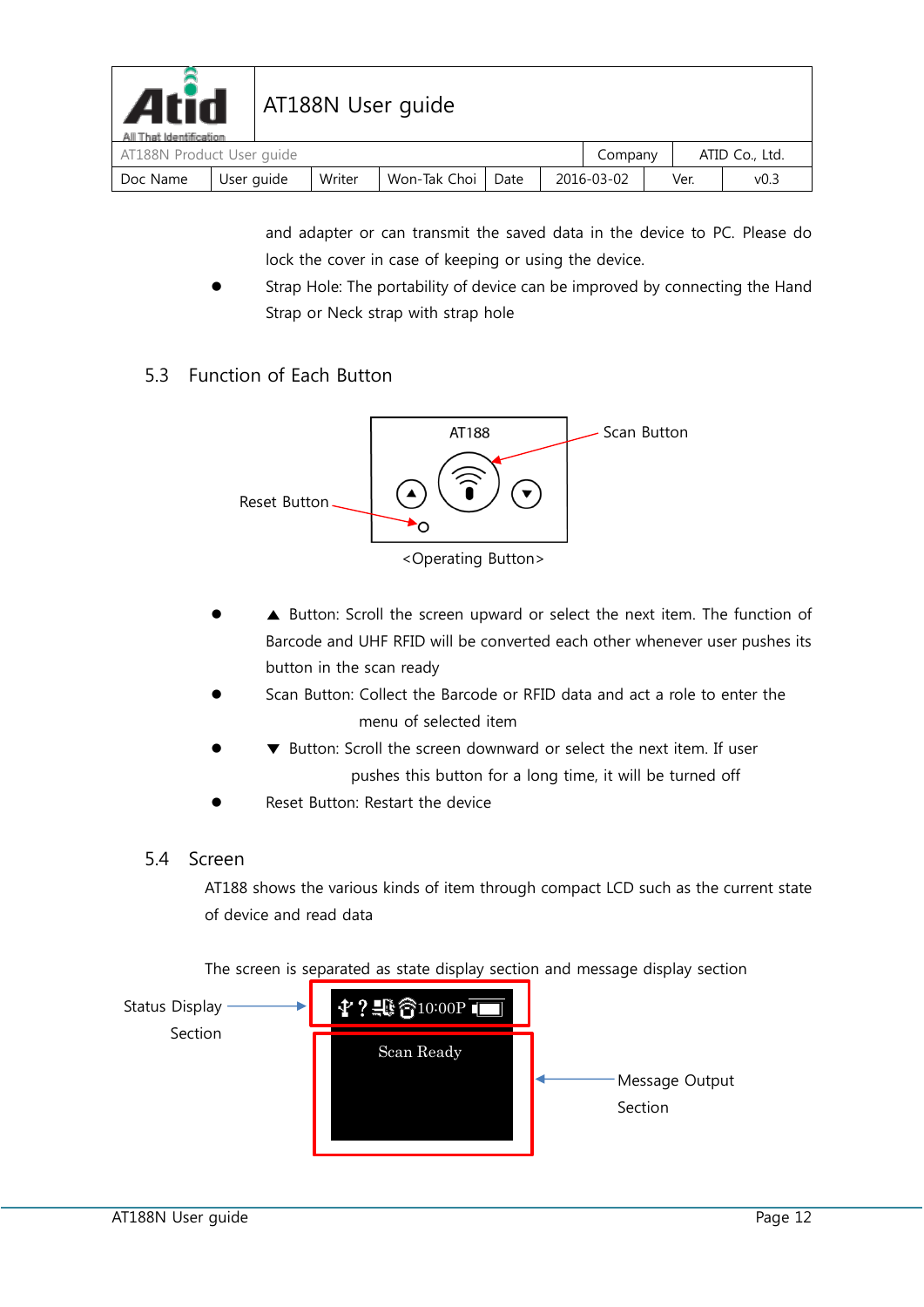| <b>Atid</b><br>AT188N User guide<br>All That Identification |            |  |        |              |      |         |            |  |                |                  |
|-------------------------------------------------------------|------------|--|--------|--------------|------|---------|------------|--|----------------|------------------|
| AT188N Product User quide                                   |            |  |        |              |      | Company |            |  | ATID Co., Ltd. |                  |
| Doc Name                                                    | User guide |  | Writer | Won-Tak Choi | Date |         | 2016-03-02 |  | Ver.           | v <sub>0.3</sub> |

and adapter or can transmit the saved data in the device to PC. Please do lock the cover in case of keeping or using the device.

 Strap Hole: The portability of device can be improved by connecting the Hand Strap or Neck strap with strap hole

#### <span id="page-11-0"></span>5.3 Function of Each Button



- ▲ Button: Scroll the screen upward or select the next item. The function of Barcode and UHF RFID will be converted each other whenever user pushes its button in the scan ready
- Scan Button: Collect the Barcode or RFID data and act a role to enter the menu of selected item
- ▼ Button: Scroll the screen downward or select the next item. If user pushes this button for a long time, it will be turned off
- Reset Button: Restart the device
- <span id="page-11-1"></span>5.4 Screen

AT188 shows the various kinds of item through compact LCD such as the current state of device and read data

The screen is separated as state display section and message display section

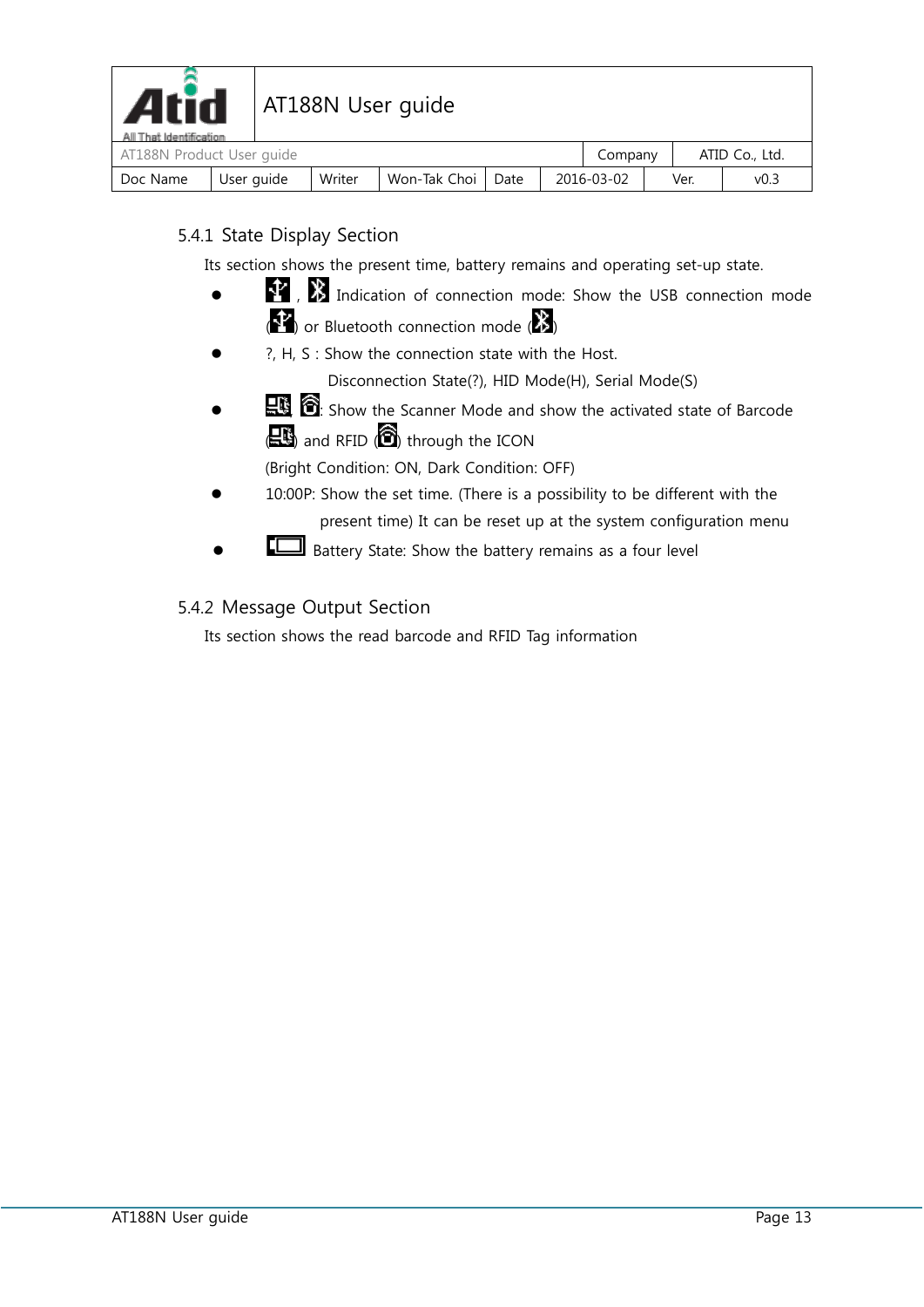

#### <span id="page-12-0"></span>5.4.1 State Display Section

Its section shows the present time, battery remains and operating set-up state.

- $\bullet$  **1 1 1 Indication of connection mode: Show the USB connection mode**  $\langle \cdot \rangle$  or Bluetooth connection mode  $\langle \cdot \rangle$
- ?, H, S : Show the connection state with the Host.

Disconnection State(?), HID Mode(H), Serial Mode(S)

 $\mathbb{R}$ ,  $\bullet$  is Show the Scanner Mode and show the activated state of Barcode  $\left( \begin{array}{c} \blacksquare \ \blacksquare \end{array} \right)$  and RFID  $\left( \begin{array}{c} \blacksquare \end{array} \right)$  through the ICON

(Bright Condition: ON, Dark Condition: OFF)

- 10:00P: Show the set time. (There is a possibility to be different with the present time) It can be reset up at the system configuration menu
- Battery State: Show the battery remains as a four level

#### <span id="page-12-1"></span>5.4.2 Message Output Section

Its section shows the read barcode and RFID Tag information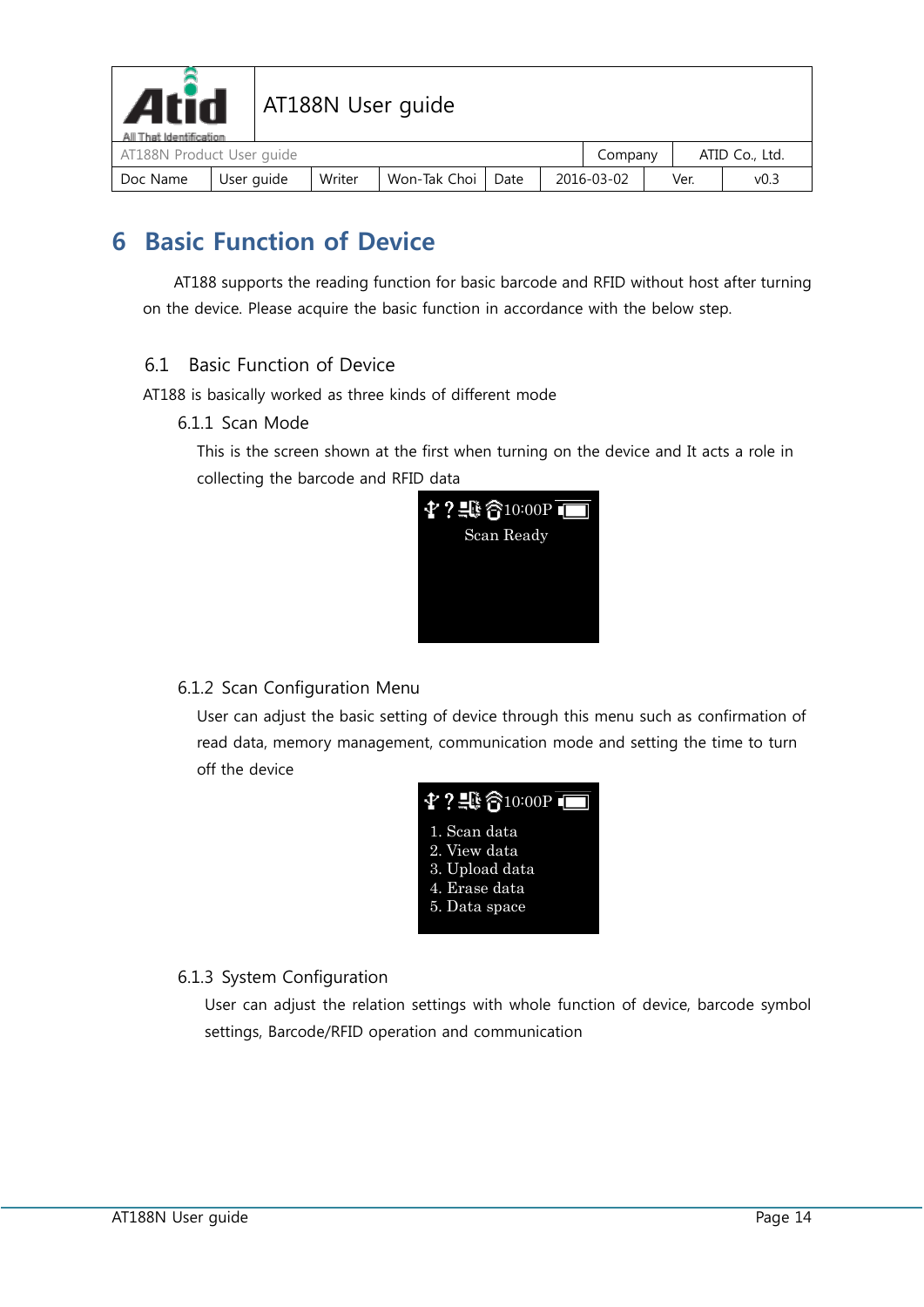

# Atid | AT188N User guide

| All That Identification<br>AT188N Product User quide |            |        |              |      |            |  | Company |      | ATID Co., Ltd. |  |
|------------------------------------------------------|------------|--------|--------------|------|------------|--|---------|------|----------------|--|
| Doc Name                                             | User auide | Writer | Won-Tak Choi | Date | 2016-03-02 |  |         | Ver. | ت0∨            |  |

# <span id="page-13-0"></span>**6 Basic Function of Device**

AT188 supports the reading function for basic barcode and RFID without host after turning on the device. Please acquire the basic function in accordance with the below step.

#### <span id="page-13-1"></span>6.1 Basic Function of Device

<span id="page-13-2"></span>AT188 is basically worked as three kinds of different mode

6.1.1 Scan Mode

This is the screen shown at the first when turning on the device and It acts a role in collecting the barcode and RFID data



#### <span id="page-13-3"></span>6.1.2 Scan Configuration Menu

User can adjust the basic setting of device through this menu such as confirmation of read data, memory management, communication mode and setting the time to turn off the device



#### <span id="page-13-4"></span>6.1.3 System Configuration

User can adjust the relation settings with whole function of device, barcode symbol settings, Barcode/RFID operation and communication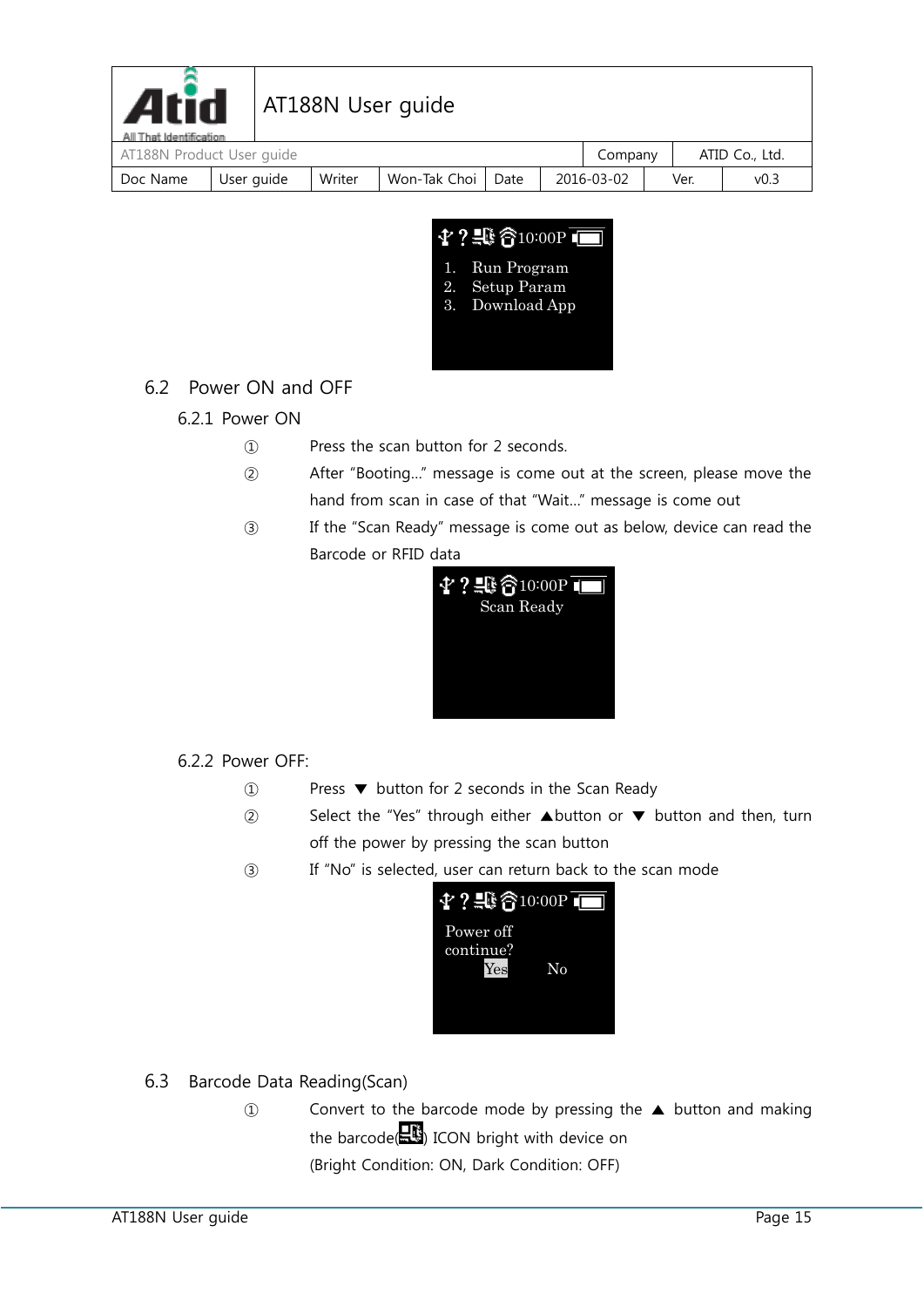

# Atid | AT188N User guide

| All That Identification<br>AT188N Product User quide |            |        |              |      | Company    |      | ATID Co., Ltd. |  |
|------------------------------------------------------|------------|--------|--------------|------|------------|------|----------------|--|
| Doc Name                                             | User auide | Writer | Won-Tak Choi | Date | 2016-03-02 | Ver. | د.0∨           |  |



### <span id="page-14-1"></span><span id="page-14-0"></span>6.2 Power ON and OFF

### 6.2.1 Power ON

- ① Press the scan button for 2 seconds.
- ② After "Booting…" message is come out at the screen, please move the hand from scan in case of that "Wait…" message is come out
- ③ If the "Scan Ready" message is come out as below, device can read the Barcode or RFID data



#### <span id="page-14-2"></span>6.2.2 Power OFF:

- ① Press ▼ button for 2 seconds in the Scan Ready
- ② Select the "Yes" through either ▲button or ▼ button and then, turn off the power by pressing the scan button
- ③ If "No" is selected, user can return back to the scan mode



- <span id="page-14-3"></span>6.3 Barcode Data Reading(Scan)
	- ① Convert to the barcode mode by pressing the ▲ button and making the barcode( $\mathbb{R}^n$ ) ICON bright with device on (Bright Condition: ON, Dark Condition: OFF)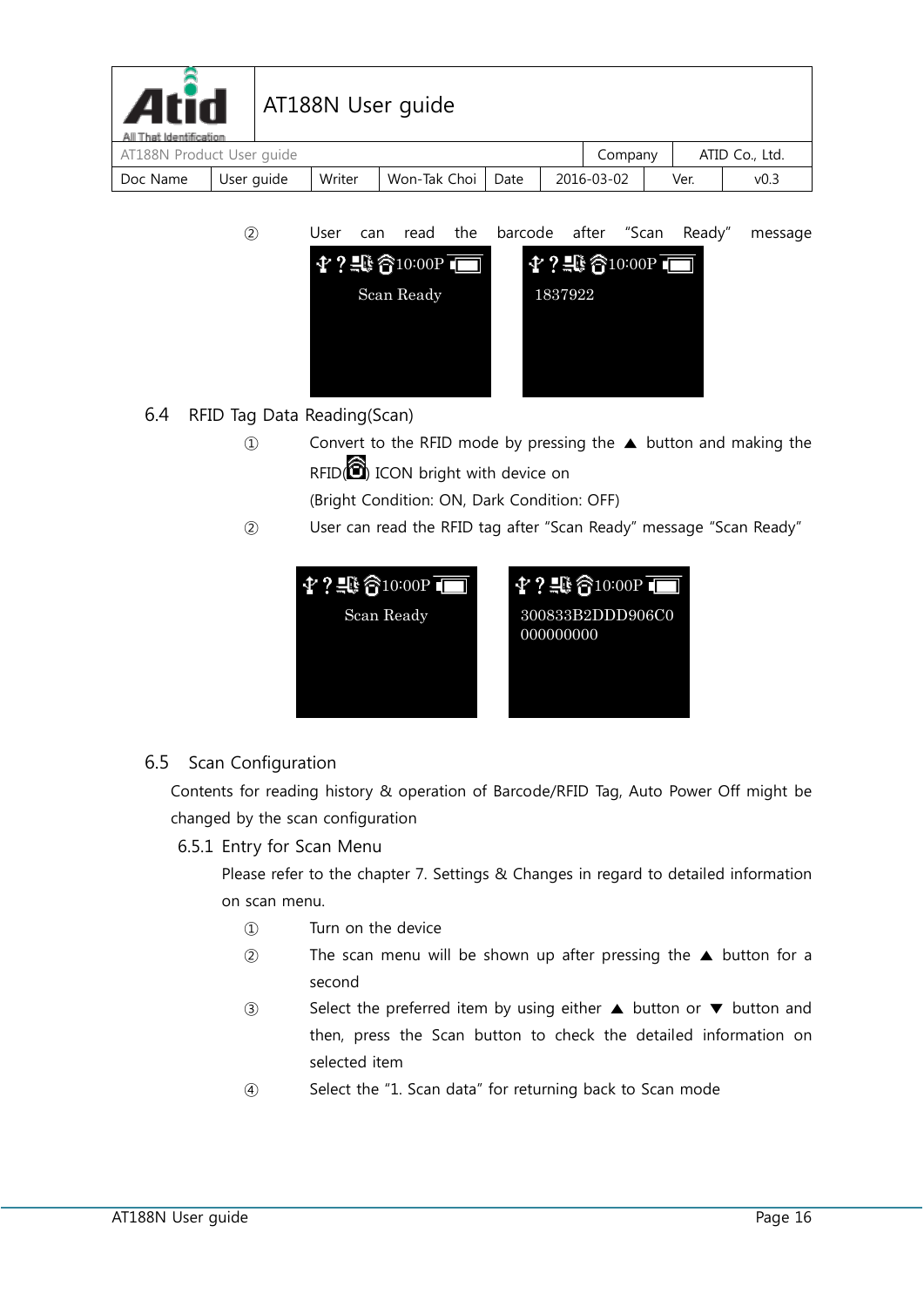| <b>Atid</b><br>All That Identification |            |        | AT188N User guide |      |            |      |                |
|----------------------------------------|------------|--------|-------------------|------|------------|------|----------------|
| AT188N Product User guide              |            |        |                   |      | Company    |      | ATID Co., Ltd. |
| Doc Name                               | User guide | Writer | Won-Tak Choi      | Date | 2016-03-02 | Ver. | v0.3           |

- ② User can read the barcode after "Scan Ready" message  $\Upsilon$  ? 4  $\mathbin{\widehat{\mathfrak{F}}}_1$  0:00P  $\blacksquare$  $?$  10:00P ٦ Scan Ready 1837922
- <span id="page-15-0"></span>6.4 RFID Tag Data Reading(Scan)
	- ① Convert to the RFID mode by pressing the ▲ button and making the  $RFID(\bigcircled{)}$  ICON bright with device on

(Bright Condition: ON, Dark Condition: OFF)

② User can read the RFID tag after "Scan Ready" message "Scan Ready"



#### <span id="page-15-1"></span>6.5 Scan Configuration

Contents for reading history & operation of Barcode/RFID Tag, Auto Power Off might be changed by the scan configuration

6.5.1 Entry for Scan Menu

Please refer to the chapter 7. Settings & Changes in regard to detailed information on scan menu.

- ① Turn on the device
- ② The scan menu will be shown up after pressing the ▲ button for a second
- ③ Select the preferred item by using either ▲ button or ▼ button and then, press the Scan button to check the detailed information on selected item
- ④ Select the "1. Scan data" for returning back to Scan mode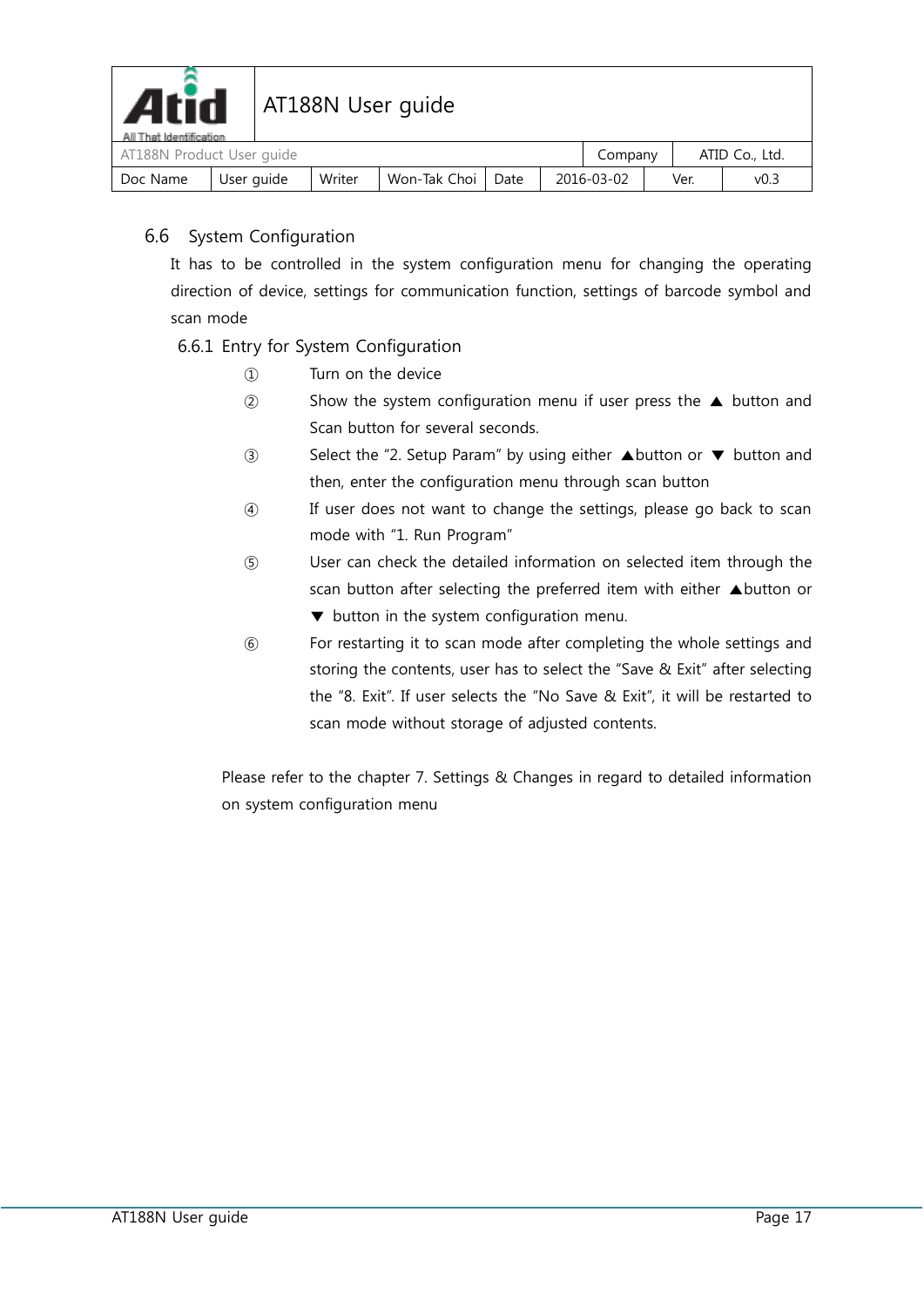

| All I hat Identification<br>AT188N Product User guide |            |        |                |      | Company    |      | ATID Co., Ltd. |
|-------------------------------------------------------|------------|--------|----------------|------|------------|------|----------------|
| Doc Name                                              | User guide | Writer | Won-Tak Choi I | Date | 2016-03-02 | Ver. | v0.3           |

#### <span id="page-16-0"></span>6.6 System Configuration

It has to be controlled in the system configuration menu for changing the operating direction of device, settings for communication function, settings of barcode symbol and scan mode

#### 6.6.1 Entry for System Configuration

- ① Turn on the device
- ② Show the system configuration menu if user press the ▲ button and Scan button for several seconds.
- ③ Select the "2. Setup Param" by using either ▲button or ▼ button and then, enter the configuration menu through scan button
- ④ If user does not want to change the settings, please go back to scan mode with "1. Run Program"
- ⑤ User can check the detailed information on selected item through the scan button after selecting the preferred item with either ▲button or ▼ button in the system configuration menu.
- ⑥ For restarting it to scan mode after completing the whole settings and storing the contents, user has to select the "Save & Exit" after selecting the "8. Exit". If user selects the "No Save & Exit", it will be restarted to scan mode without storage of adjusted contents.

Please refer to the chapter 7. Settings & Changes in regard to detailed information on system configuration menu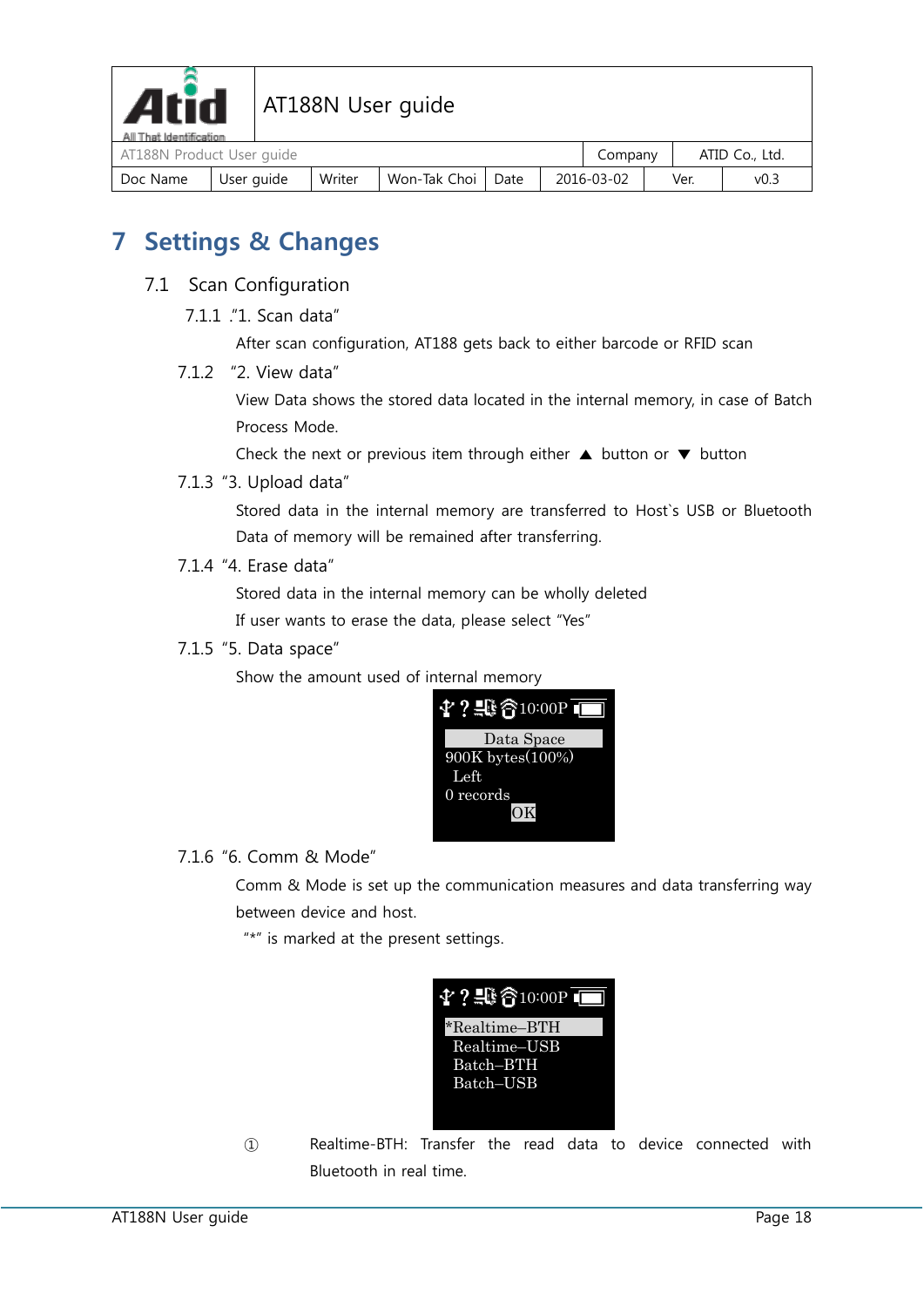

| All I hat Identification | AT188N Product User guide |        |              |      |  |            |  |      | ATID Co., Ltd.   |  |
|--------------------------|---------------------------|--------|--------------|------|--|------------|--|------|------------------|--|
| Doc Name                 | User auide                | Writer | Won-Tak Choi | Date |  | 2016-03-02 |  | Ver. | v <sub>0.3</sub> |  |

# <span id="page-17-0"></span>**7 Settings & Changes**

- <span id="page-17-2"></span><span id="page-17-1"></span>7.1 Scan Configuration
	- 7.1.1 ."1. Scan data"

<span id="page-17-3"></span>After scan configuration, AT188 gets back to either barcode or RFID scan

7.1.2 "2. View data"

View Data shows the stored data located in the internal memory, in case of Batch Process Mode.

Check the next or previous item through either  $\triangle$  button or  $\nabla$  button

<span id="page-17-4"></span>7.1.3 "3. Upload data"

Stored data in the internal memory are transferred to Host`s USB or Bluetooth Data of memory will be remained after transferring.

<span id="page-17-5"></span>7.1.4 "4. Erase data"

Stored data in the internal memory can be wholly deleted

If user wants to erase the data, please select "Yes"

<span id="page-17-6"></span>7.1.5 "5. Data space"

Show the amount used of internal memory



<span id="page-17-7"></span>7.1.6 "6. Comm & Mode"

Comm & Mode is set up the communication measures and data transferring way between device and host.

"\*" is marked at the present settings.



① Realtime-BTH: Transfer the read data to device connected with Bluetooth in real time.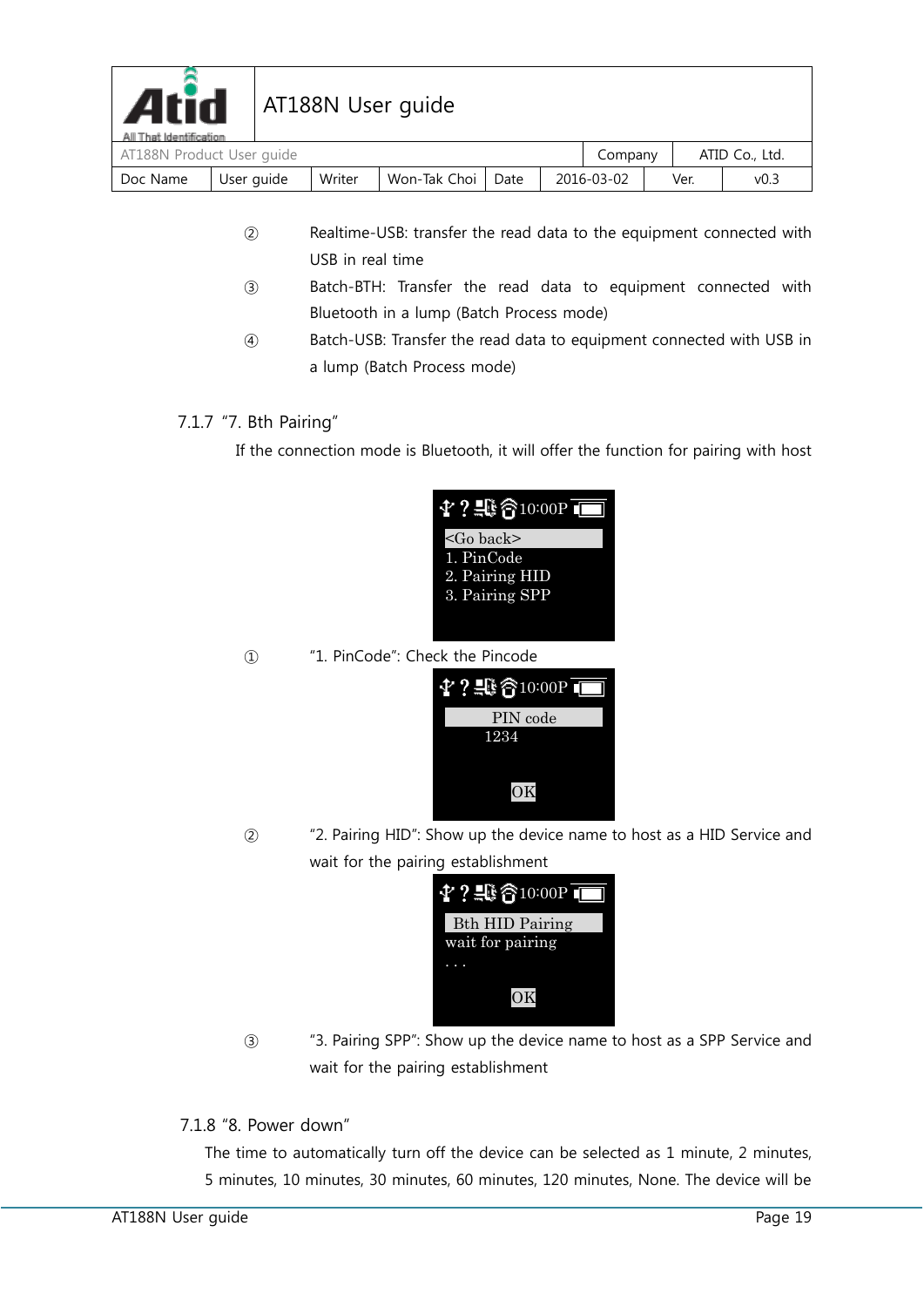

# $\mathbf{A}$ rid | AT188N User guide

| All That Identification              |            |        |                   |  |  |            |  |                |      |
|--------------------------------------|------------|--------|-------------------|--|--|------------|--|----------------|------|
| AT188N Product User guide<br>Company |            |        |                   |  |  |            |  | ATID Co., Ltd. |      |
| Doc Name                             | User guide | Writer | Won-Tak Choi Date |  |  | 2016-03-02 |  | Ver.           | v0.3 |

- ② Realtime-USB: transfer the read data to the equipment connected with USB in real time
- ③ Batch-BTH: Transfer the read data to equipment connected with Bluetooth in a lump (Batch Process mode)
- ④ Batch-USB: Transfer the read data to equipment connected with USB in a lump (Batch Process mode)

#### <span id="page-18-0"></span>7.1.7 "7. Bth Pairing"

If the connection mode is Bluetooth, it will offer the function for pairing with host

| $4$ ? $\oplus$ $6$ 10:00P I |
|-----------------------------|
| $<$ Go back>                |
| 1. PinCode                  |
| 2. Pairing HID              |
| 3. Pairing SPP              |
|                             |

① "1. PinCode": Check the Pincode



② "2. Pairing HID": Show up the device name to host as a HID Service and wait for the pairing establishment



③ "3. Pairing SPP": Show up the device name to host as a SPP Service and wait for the pairing establishment

#### <span id="page-18-1"></span>7.1.8 "8. Power down"

The time to automatically turn off the device can be selected as 1 minute, 2 minutes, 5 minutes, 10 minutes, 30 minutes, 60 minutes, 120 minutes, None. The device will be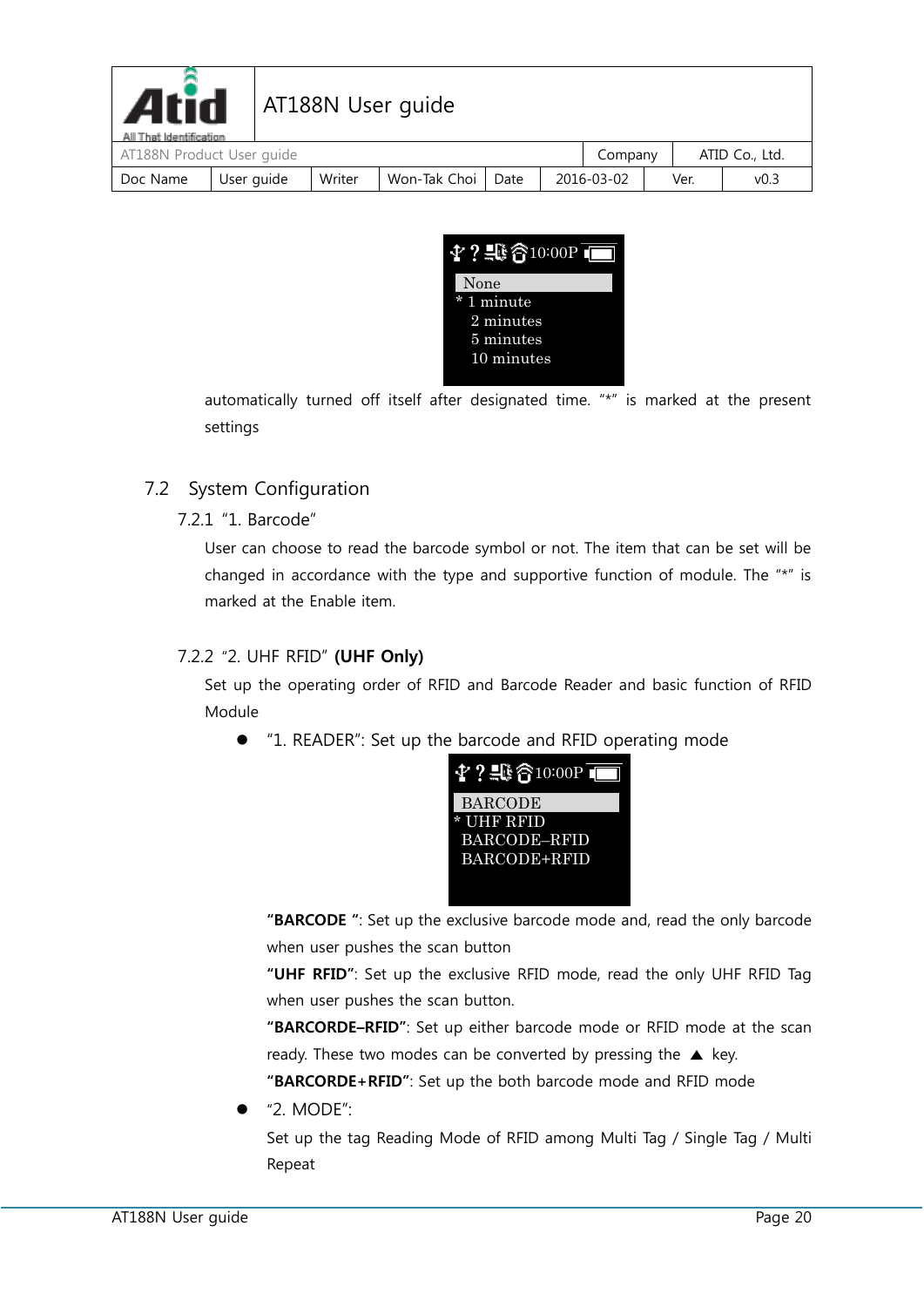| <b>Atid</b><br>All That Identification |            | AT188N User guide |                     |  |            |      |                  |
|----------------------------------------|------------|-------------------|---------------------|--|------------|------|------------------|
| AT188N Product User guide              |            |                   |                     |  | Company    |      | ATID Co., Ltd.   |
| Doc Name                               | User guide | Writer            | Won-Tak Choi   Date |  | 2016-03-02 | Ver. | v <sub>0.3</sub> |



automatically turned off itself after designated time. "\*" is marked at the present settings

#### <span id="page-19-1"></span><span id="page-19-0"></span>7.2 System Configuration

#### 7.2.1 "1. Barcode"

User can choose to read the barcode symbol or not. The item that can be set will be changed in accordance with the type and supportive function of module. The "\*" is marked at the Enable item.

#### <span id="page-19-2"></span>7.2.2 "2. UHF RFID" **(UHF Only)**

Set up the operating order of RFID and Barcode Reader and basic function of RFID Module

"1. READER": Set up the barcode and RFID operating mode



**"BARCODE "**: Set up the exclusive barcode mode and, read the only barcode when user pushes the scan button

**"UHF RFID"**: Set up the exclusive RFID mode, read the only UHF RFID Tag when user pushes the scan button.

**"BARCORDE–RFID"**: Set up either barcode mode or RFID mode at the scan ready. These two modes can be converted by pressing the  $\triangle$  key.

**"BARCORDE+RFID"**: Set up the both barcode mode and RFID mode

"2. MODE":

Set up the tag Reading Mode of RFID among Multi Tag / Single Tag / Multi Repeat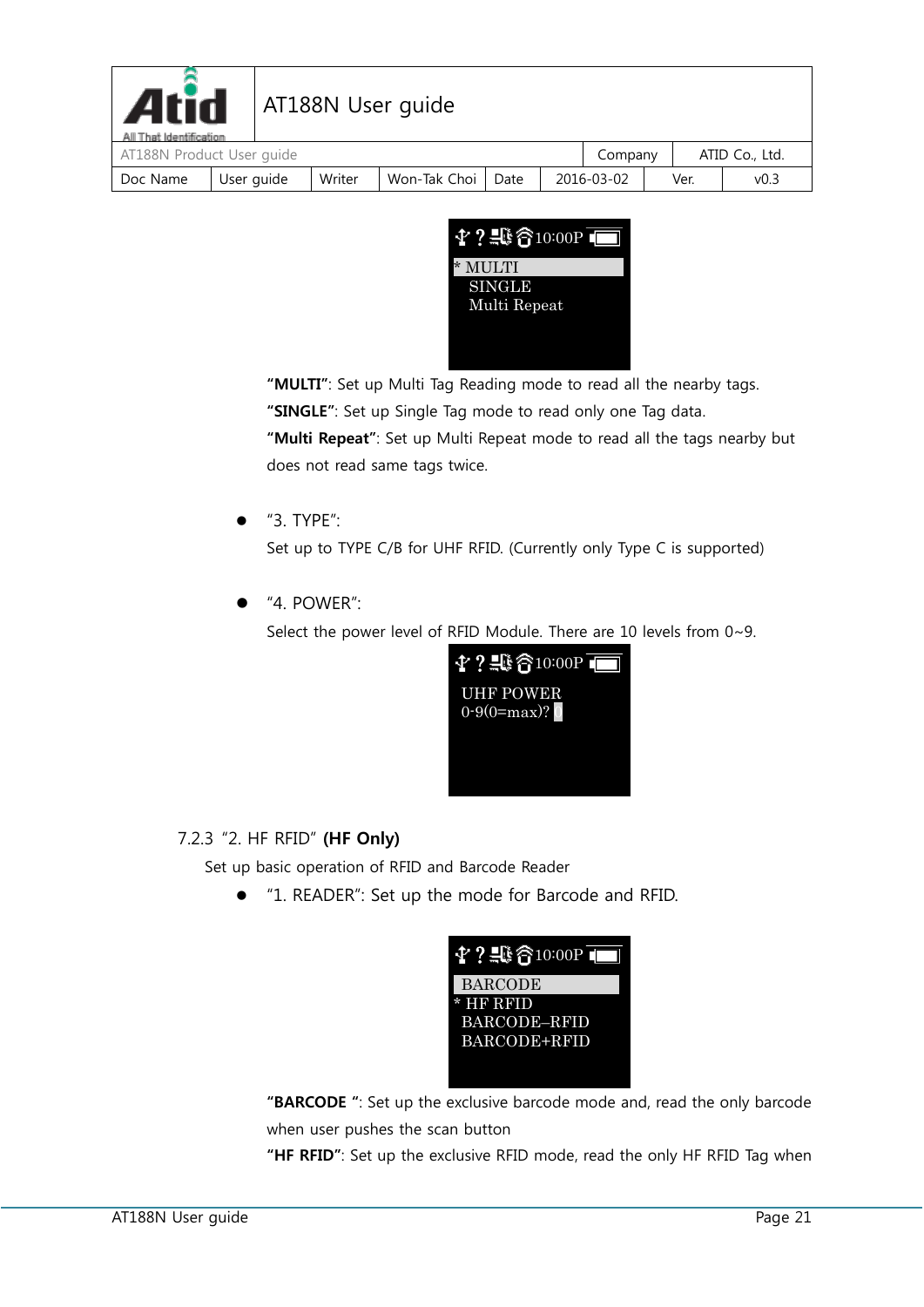| <b>Atid</b><br>All That Identification |            | <b>AT188N User guide</b> |                     |  |            |      |                  |  |
|----------------------------------------|------------|--------------------------|---------------------|--|------------|------|------------------|--|
| AT188N Product User guide              |            |                          |                     |  | Company    |      | ATID Co., Ltd.   |  |
| Doc Name                               | User guide | Writer                   | Won-Tak Choi   Date |  | 2016-03-02 | Ver. | v <sub>0.3</sub> |  |



**"MULTI"**: Set up Multi Tag Reading mode to read all the nearby tags.

**"SINGLE"**: Set up Single Tag mode to read only one Tag data.

**"Multi Repeat"**: Set up Multi Repeat mode to read all the tags nearby but does not read same tags twice.

"3. TYPE":

Set up to TYPE C/B for UHF RFID. (Currently only Type C is supported)

"4. POWER":

Select the power level of RFID Module. There are 10 levels from 0~9.



### <span id="page-20-0"></span>7.2.3 "2. HF RFID" **(HF Only)**

Set up basic operation of RFID and Barcode Reader

"1. READER": Set up the mode for Barcode and RFID.



**"BARCODE "**: Set up the exclusive barcode mode and, read the only barcode when user pushes the scan button

**"HF RFID"**: Set up the exclusive RFID mode, read the only HF RFID Tag when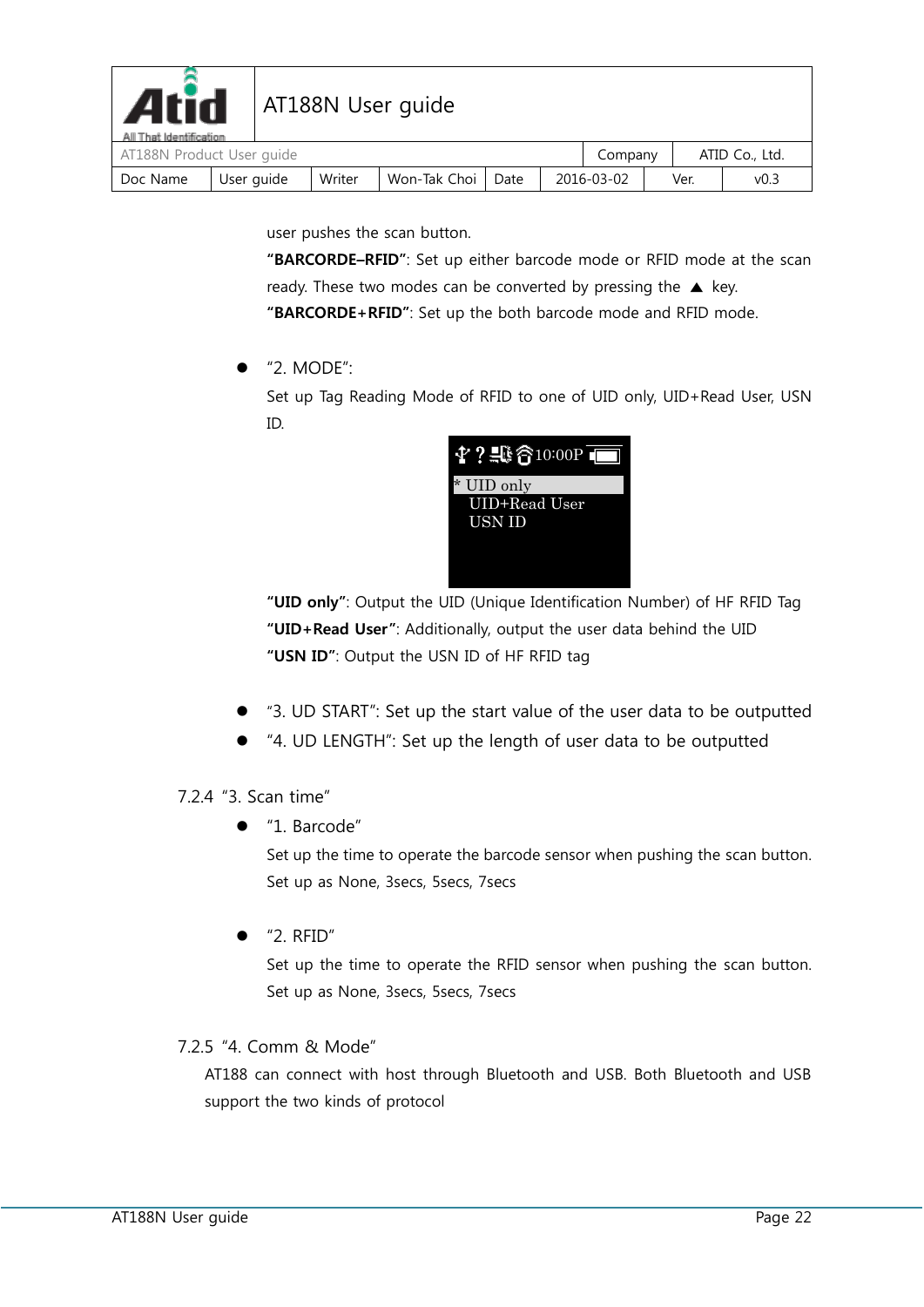| <b>Atid</b><br>All That Identification | AT188N User quide |  |        |              |      |  |            |  |      |                  |
|----------------------------------------|-------------------|--|--------|--------------|------|--|------------|--|------|------------------|
| AT188N Product User quide              |                   |  |        |              |      |  | Company    |  |      | ATID Co., Ltd.   |
| Doc Name                               | User guide        |  | Writer | Won-Tak Choi | Date |  | 2016-03-02 |  | Ver. | v <sub>0.3</sub> |

user pushes the scan button.

**"BARCORDE–RFID"**: Set up either barcode mode or RFID mode at the scan ready. These two modes can be converted by pressing the  $\triangle$  key. **"BARCORDE+RFID"**: Set up the both barcode mode and RFID mode.

 $\bullet$  "2. MODE":

Set up Tag Reading Mode of RFID to one of UID only, UID+Read User, USN ID.



**"UID only"**: Output the UID (Unique Identification Number) of HF RFID Tag **"UID+Read User"**: Additionally, output the user data behind the UID **"USN ID"**: Output the USN ID of HF RFID tag

- "3. UD START": Set up the start value of the user data to be outputted
- "4. UD LENGTH": Set up the length of user data to be outputted

<span id="page-21-0"></span>7.2.4 "3. Scan time"

"1. Barcode"

Set up the time to operate the barcode sensor when pushing the scan button. Set up as None, 3secs, 5secs, 7secs

 $\bullet$  "2. RFID"

Set up the time to operate the RFID sensor when pushing the scan button. Set up as None, 3secs, 5secs, 7secs

#### <span id="page-21-1"></span>7.2.5 "4. Comm & Mode"

AT188 can connect with host through Bluetooth and USB. Both Bluetooth and USB support the two kinds of protocol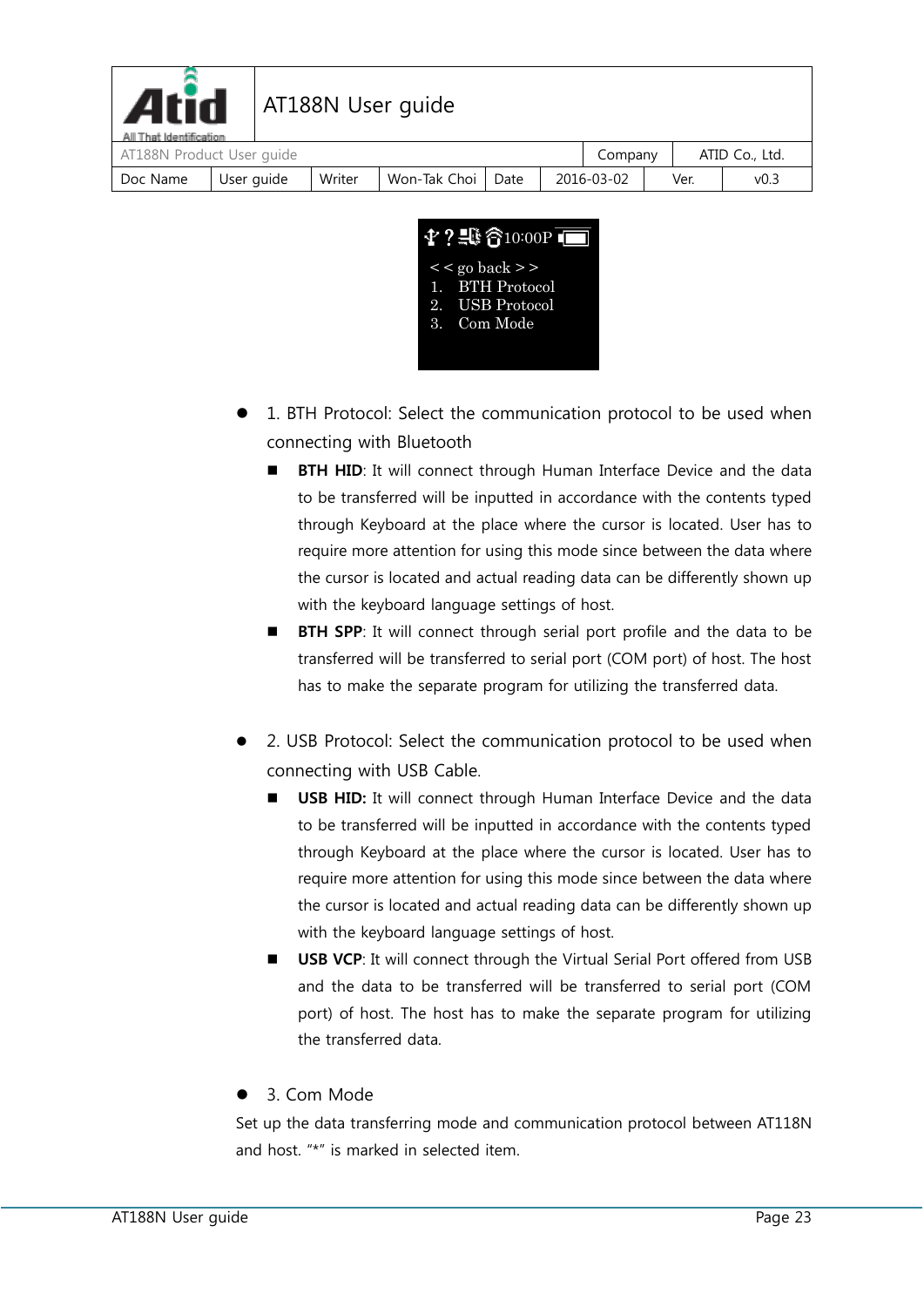| <b>Atid</b><br>All That Identification |            |        | AT188N User guide |      |            |      |                  |
|----------------------------------------|------------|--------|-------------------|------|------------|------|------------------|
| AT188N Product User guide              |            |        |                   |      | Company    |      | ATID Co., Ltd.   |
| Doc Name                               | User guide | Writer | Won-Tak Choi      | Date | 2016-03-02 | Ver. | v <sub>0.3</sub> |



- 1. BTH Protocol: Select the communication protocol to be used when connecting with Bluetooth
	- **BTH HID:** It will connect through Human Interface Device and the data to be transferred will be inputted in accordance with the contents typed through Keyboard at the place where the cursor is located. User has to require more attention for using this mode since between the data where the cursor is located and actual reading data can be differently shown up with the keyboard language settings of host.
	- **BTH SPP**: It will connect through serial port profile and the data to be transferred will be transferred to serial port (COM port) of host. The host has to make the separate program for utilizing the transferred data.
- 2. USB Protocol: Select the communication protocol to be used when connecting with USB Cable.
	- **USB HID:** It will connect through Human Interface Device and the data to be transferred will be inputted in accordance with the contents typed through Keyboard at the place where the cursor is located. User has to require more attention for using this mode since between the data where the cursor is located and actual reading data can be differently shown up with the keyboard language settings of host.
	- **USB VCP**: It will connect through the Virtual Serial Port offered from USB and the data to be transferred will be transferred to serial port (COM port) of host. The host has to make the separate program for utilizing the transferred data.

### 3. Com Mode

Set up the data transferring mode and communication protocol between AT118N and host. "\*" is marked in selected item.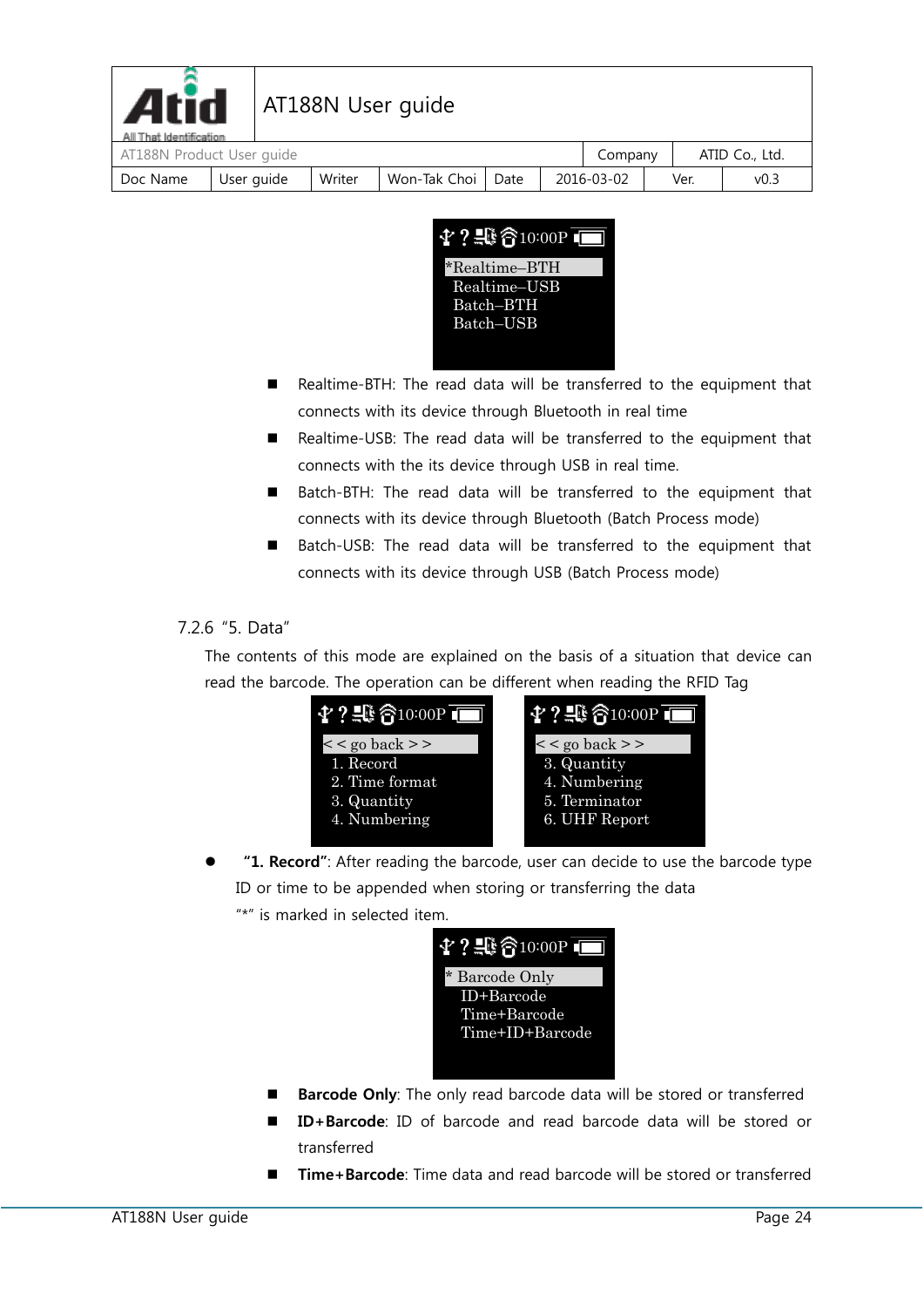| <b>Atid</b><br>All That Identification |            |        | AT188N User guide   |  |            |      |                  |  |
|----------------------------------------|------------|--------|---------------------|--|------------|------|------------------|--|
| AT188N Product User guide              |            |        |                     |  | Company    |      | ATID Co., Ltd.   |  |
| Doc Name                               | User guide | Writer | Won-Tak Choi   Date |  | 2016-03-02 | Ver. | v <sub>0.3</sub> |  |



- Realtime-BTH: The read data will be transferred to the equipment that connects with its device through Bluetooth in real time
- Realtime-USB: The read data will be transferred to the equipment that connects with the its device through USB in real time.
- Batch-BTH: The read data will be transferred to the equipment that connects with its device through Bluetooth (Batch Process mode)
- Batch-USB: The read data will be transferred to the equipment that connects with its device through USB (Batch Process mode)

#### <span id="page-23-0"></span>7.2.6 "5. Data"

The contents of this mode are explained on the basis of a situation that device can read the barcode. The operation can be different when reading the RFID Tag



 **"1. Record"**: After reading the barcode, user can decide to use the barcode type ID or time to be appended when storing or transferring the data "\*" is marked in selected item.



- **Barcode Only**: The only read barcode data will be stored or transferred
- **ID+Barcode**: ID of barcode and read barcode data will be stored or transferred
- **Time+Barcode**: Time data and read barcode will be stored or transferred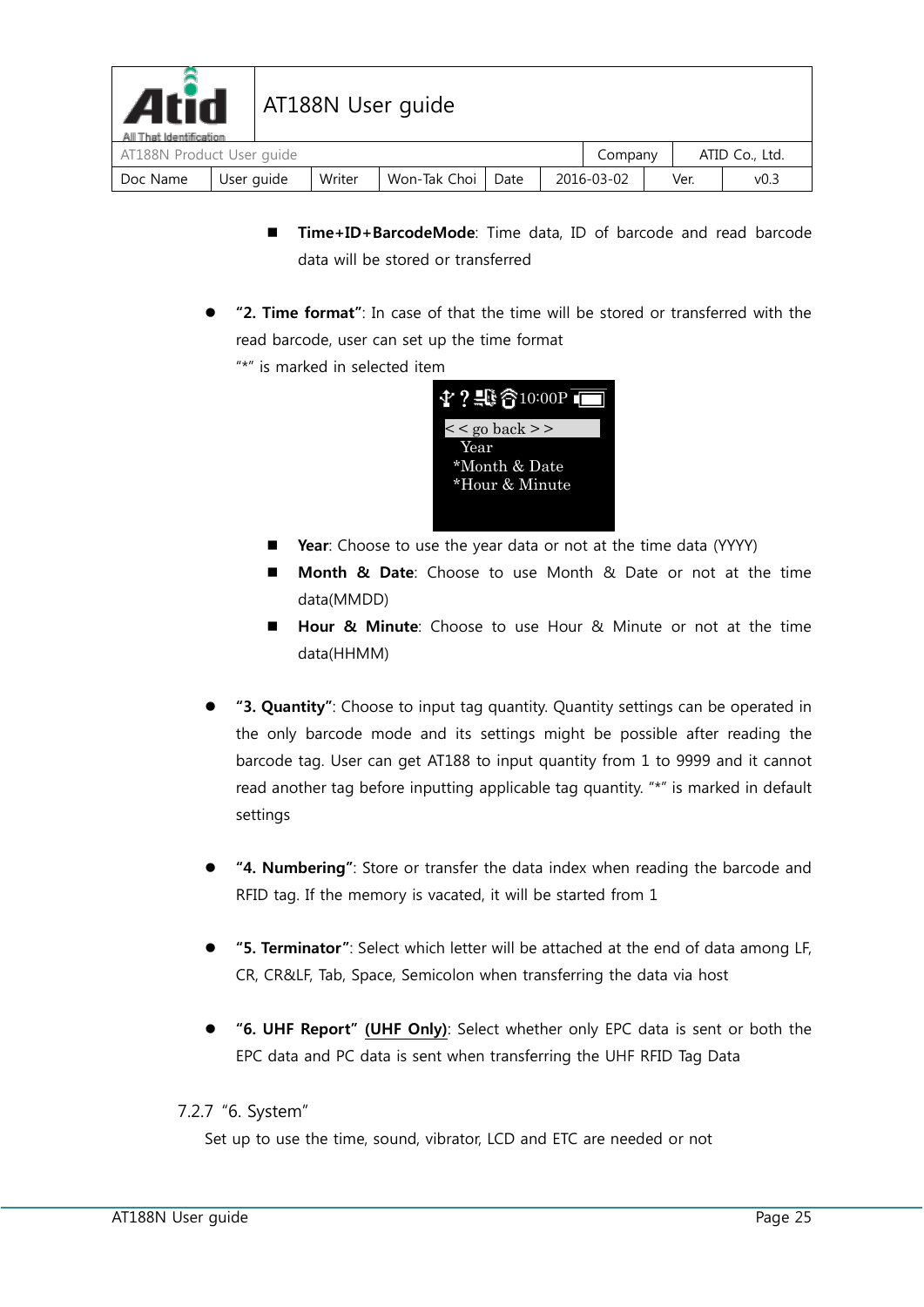| <b>Atid</b><br>All That Identification |            |        | AT188N User guide |      |            |      |                |
|----------------------------------------|------------|--------|-------------------|------|------------|------|----------------|
| AT188N Product User guide              |            |        |                   |      | Company    |      | ATID Co., Ltd. |
| Doc Name                               | User guide | Writer | Won-Tak Choi      | Date | 2016-03-02 | Ver. | v0.3           |

- **Time+ID+BarcodeMode**: Time data, ID of barcode and read barcode data will be stored or transferred
- **"2. Time format"**: In case of that the time will be stored or transferred with the read barcode, user can set up the time format
	- "\*" is marked in selected item

| $4$ ? $\oplus$ $6$ 10:00P T |
|-----------------------------|
| $\lt$ go back >>            |
| Year                        |
| *Month & Date               |
| *Hour & Minute              |
|                             |

- **P** Year: Choose to use the year data or not at the time data (YYYY)
- **Month & Date**: Choose to use Month & Date or not at the time data(MMDD)
- **Hour & Minute**: Choose to use Hour & Minute or not at the time data(HHMM)
- **"3. Quantity"**: Choose to input tag quantity. Quantity settings can be operated in the only barcode mode and its settings might be possible after reading the barcode tag. User can get AT188 to input quantity from 1 to 9999 and it cannot read another tag before inputting applicable tag quantity. "\*" is marked in default settings
- **"4. Numbering"**: Store or transfer the data index when reading the barcode and RFID tag. If the memory is vacated, it will be started from 1
- **"5. Terminator"**: Select which letter will be attached at the end of data among LF, CR, CR&LF, Tab, Space, Semicolon when transferring the data via host
- **"6. UHF Report" (UHF Only)**: Select whether only EPC data is sent or both the EPC data and PC data is sent when transferring the UHF RFID Tag Data

#### <span id="page-24-0"></span>7.2.7 "6. System"

Set up to use the time, sound, vibrator, LCD and ETC are needed or not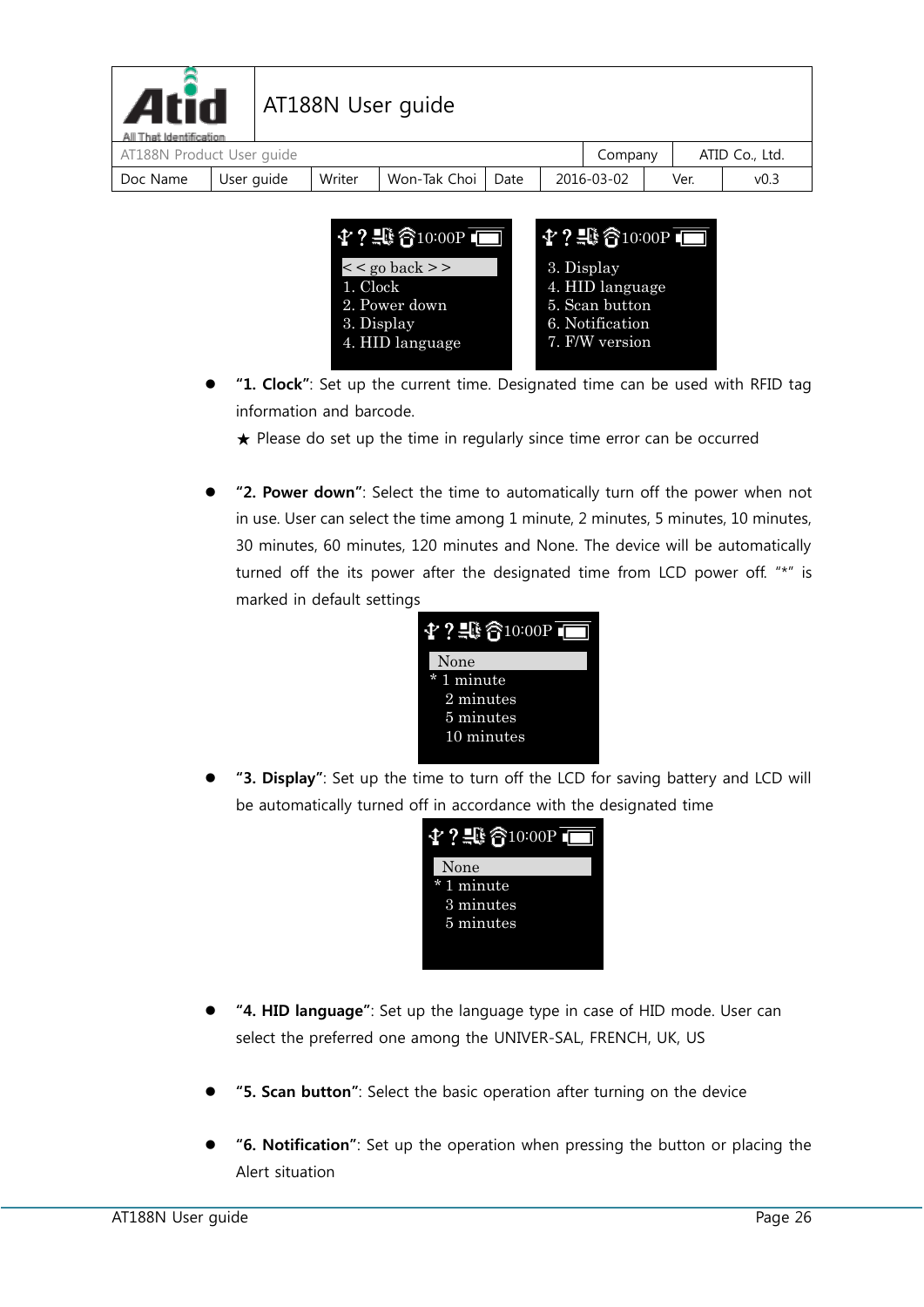| <b>Atid</b><br>All That Identification |            |  |        | AT188N User guide |      |  |            |  |      |                  |
|----------------------------------------|------------|--|--------|-------------------|------|--|------------|--|------|------------------|
| AT188N Product User guide              |            |  |        |                   |      |  | Company    |  |      | ATID Co., Ltd.   |
| Doc Name                               | User guide |  | Writer | Won-Tak Choi      | Date |  | 2016-03-02 |  | Ver. | v <sub>0.3</sub> |



- **"1. Clock"**: Set up the current time. Designated time can be used with RFID tag information and barcode.
	- $\star$  Please do set up the time in regularly since time error can be occurred
- **"2. Power down"**: Select the time to automatically turn off the power when not in use. User can select the time among 1 minute, 2 minutes, 5 minutes, 10 minutes, 30 minutes, 60 minutes, 120 minutes and None. The device will be automatically turned off the its power after the designated time from LCD power off. "\*" is marked in default settings



 **"3. Display"**: Set up the time to turn off the LCD for saving battery and LCD will be automatically turned off in accordance with the designated time



- **"4. HID language"**: Set up the language type in case of HID mode. User can select the preferred one among the UNIVER-SAL, FRENCH, UK, US
- **"5. Scan button"**: Select the basic operation after turning on the device
- **"6. Notification"**: Set up the operation when pressing the button or placing the Alert situation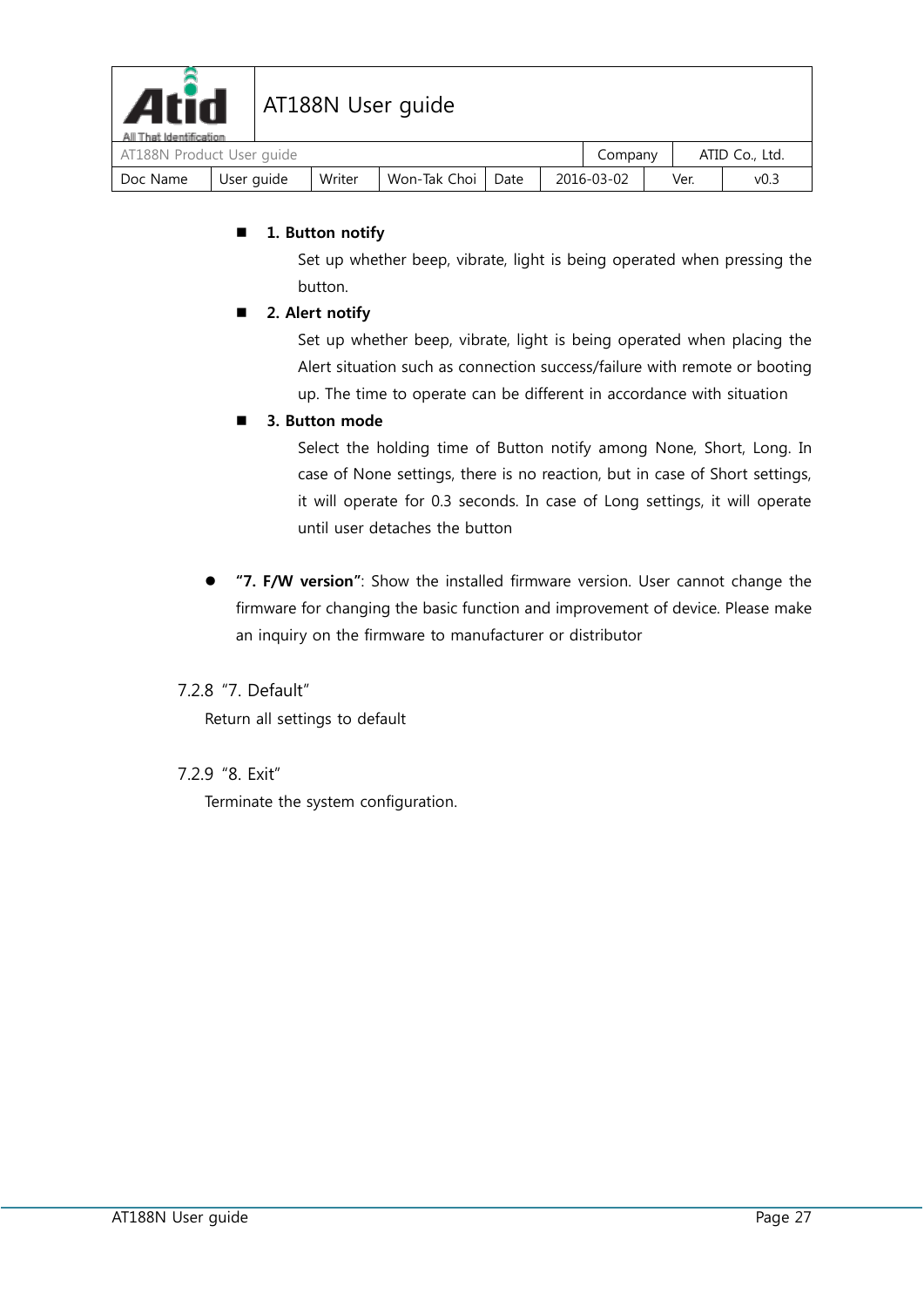

| AT188N Product User quide |            |        |                     |  |            | Company |      | ATID Co., Ltd. |
|---------------------------|------------|--------|---------------------|--|------------|---------|------|----------------|
| Doc Name                  | User guide | Writer | Won-Tak Choi   Date |  | 2016-03-02 |         | Ver. | v0.-           |

#### ■ 1. Button notify

Set up whether beep, vibrate, light is being operated when pressing the button.

#### ■ 2. Alert notify

Set up whether beep, vibrate, light is being operated when placing the Alert situation such as connection success/failure with remote or booting up. The time to operate can be different in accordance with situation

#### **3. Button mode**

Select the holding time of Button notify among None, Short, Long. In case of None settings, there is no reaction, but in case of Short settings, it will operate for 0.3 seconds. In case of Long settings, it will operate until user detaches the button

 **"7. F/W version"**: Show the installed firmware version. User cannot change the firmware for changing the basic function and improvement of device. Please make an inquiry on the firmware to manufacturer or distributor

#### <span id="page-26-0"></span>7.2.8 "7. Default"

Return all settings to default

#### <span id="page-26-1"></span>7.2.9 "8. Exit"

Terminate the system configuration.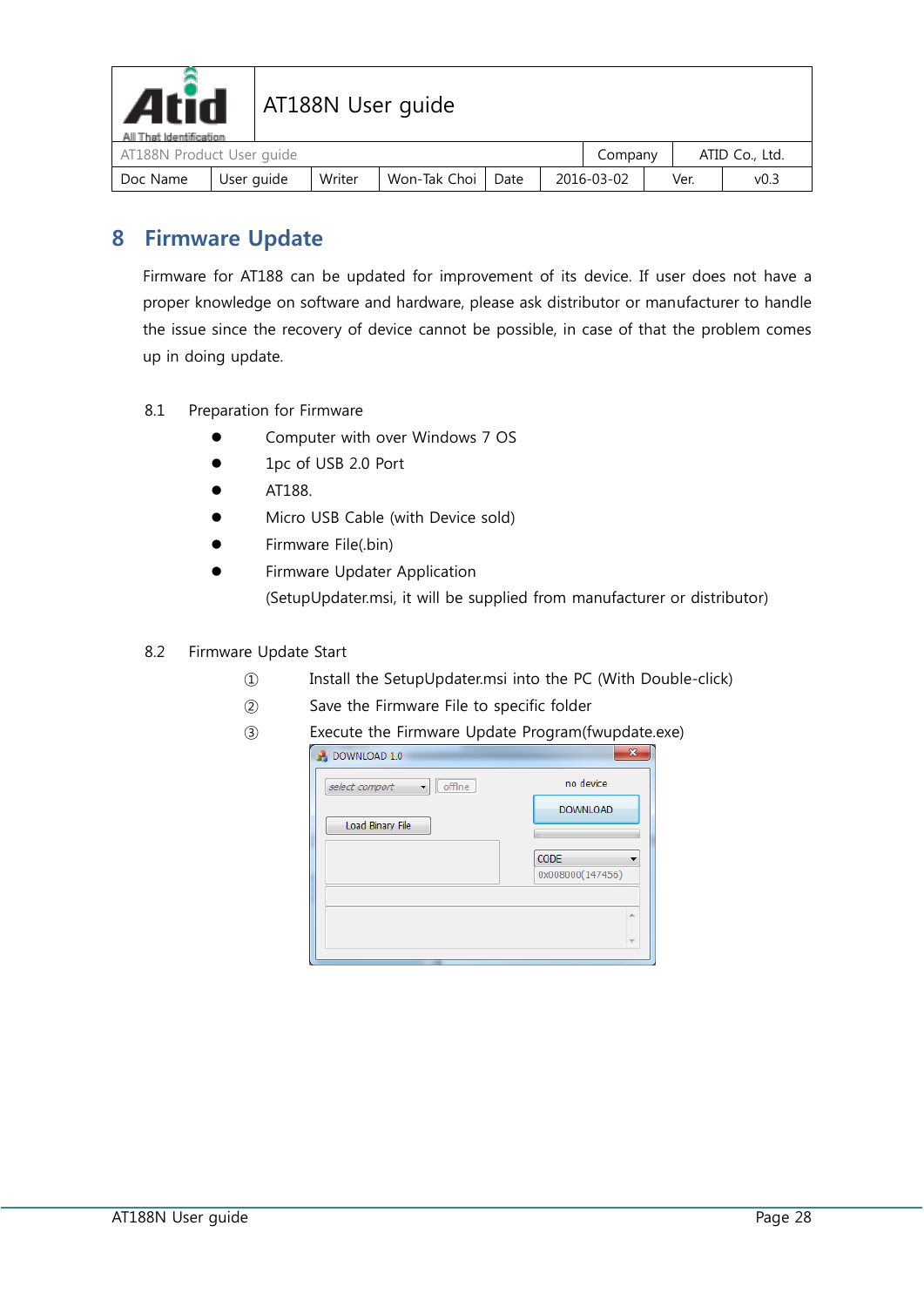

# Atid | AT188N User guide

| All That Identification | AT188N Product User quide |        |                     |  |            |         |      |      | ATID Co., Ltd. |  |
|-------------------------|---------------------------|--------|---------------------|--|------------|---------|------|------|----------------|--|
|                         |                           |        |                     |  |            | Company |      |      |                |  |
| Doc Name                | User guide                | Writer | Won-Tak Choi   Date |  | 2016-03-02 |         | Ver. | v0.3 |                |  |

### <span id="page-27-0"></span>**8 Firmware Update**

Firmware for AT188 can be updated for improvement of its device. If user does not have a proper knowledge on software and hardware, please ask distributor or manufacturer to handle the issue since the recovery of device cannot be possible, in case of that the problem comes up in doing update.

- <span id="page-27-1"></span>8.1 Preparation for Firmware
	- Computer with over Windows 7 OS
	- 1pc of USB 2.0 Port
	- AT188.
	- Micro USB Cable (with Device sold)
	- Firmware File(.bin)
	- Firmware Updater Application (SetupUpdater.msi, it will be supplied from manufacturer or distributor)
- <span id="page-27-2"></span>8.2 Firmware Update Start
	- ① Install the SetupUpdater.msi into the PC (With Double-click)
	- ② Save the Firmware File to specific folder
	- ③ Execute the Firmware Update Program(fwupdate.exe)

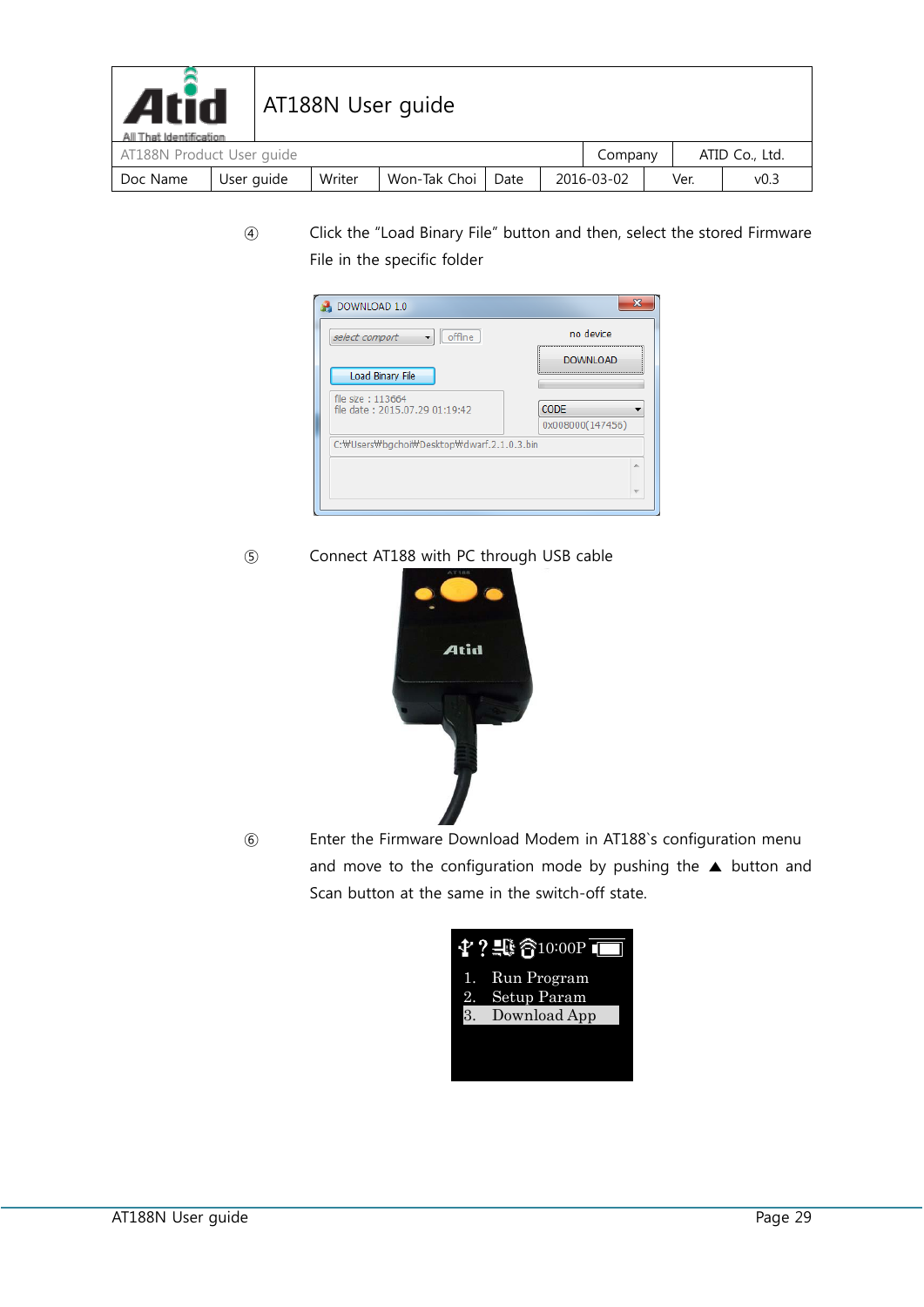| <b>Atid</b><br>AT188N User guide<br>All That Identification |            |  |        |              |      |            |         |      |                  |                |
|-------------------------------------------------------------|------------|--|--------|--------------|------|------------|---------|------|------------------|----------------|
| AT188N Product User guide                                   |            |  |        |              |      |            | Company |      |                  | ATID Co., Ltd. |
| Doc Name                                                    | User guide |  | Writer | Won-Tak Choi | Date | 2016-03-02 |         | Ver. | v <sub>0.3</sub> |                |

④ Click the "Load Binary File" button and then, select the stored Firmware File in the specific folder



⑤ Connect AT188 with PC through USB cable



⑥ Enter the Firmware Download Modem in AT188`s configuration menu and move to the configuration mode by pushing the ▲ button and Scan button at the same in the switch-off state.

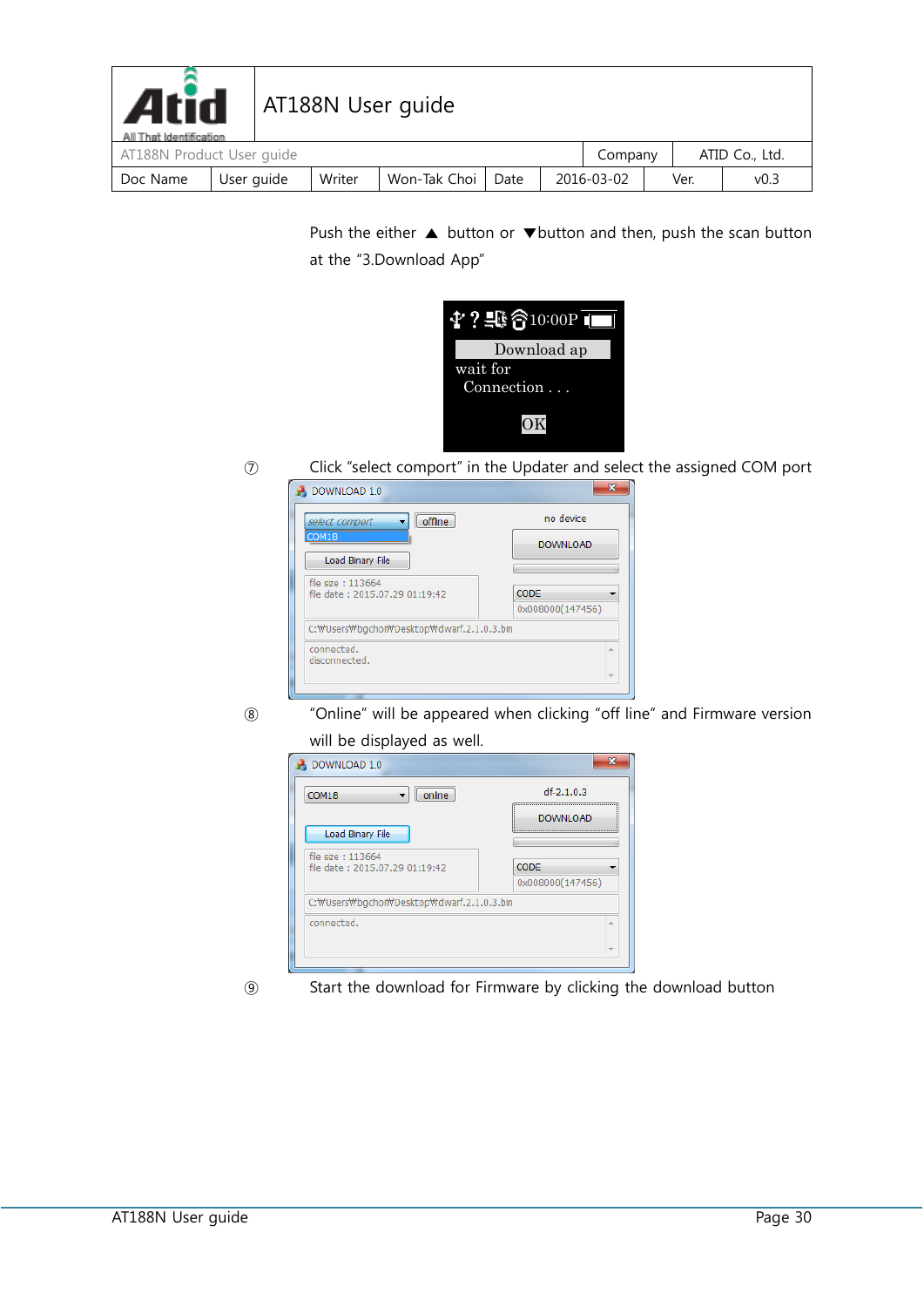| <b>Atid</b><br>AT188N User guide<br>All That Identification |            |  |        |              |      |            |         |      |      |                |
|-------------------------------------------------------------|------------|--|--------|--------------|------|------------|---------|------|------|----------------|
| AT188N Product User guide                                   |            |  |        |              |      |            | Company |      |      | ATID Co., Ltd. |
| Doc Name                                                    | User guide |  | Writer | Won-Tak Choi | Date | 2016-03-02 |         | Ver. | v0.3 |                |

Push the either ▲ button or ▼button and then, push the scan button at the "3.Download App"



⑦ Click "select comport" in the Updater and select the assigned COM port

| offline<br>select comport<br>COM18<br>Load Binary File | no device<br><b>DOWNLOAD</b> |
|--------------------------------------------------------|------------------------------|
| file size: 113664<br>file date: 2015.07.29 01:19:42    | CODE<br>0x008000(147456)     |
| C:\Users\bgchoi\Desktop\dwarf.2.1.0.3.bin              |                              |
| connected.<br>disconnected.                            | ×                            |

⑧ "Online" will be appeared when clicking "off line" and Firmware version will be displayed as well.



- 
- ⑨ Start the download for Firmware by clicking the download button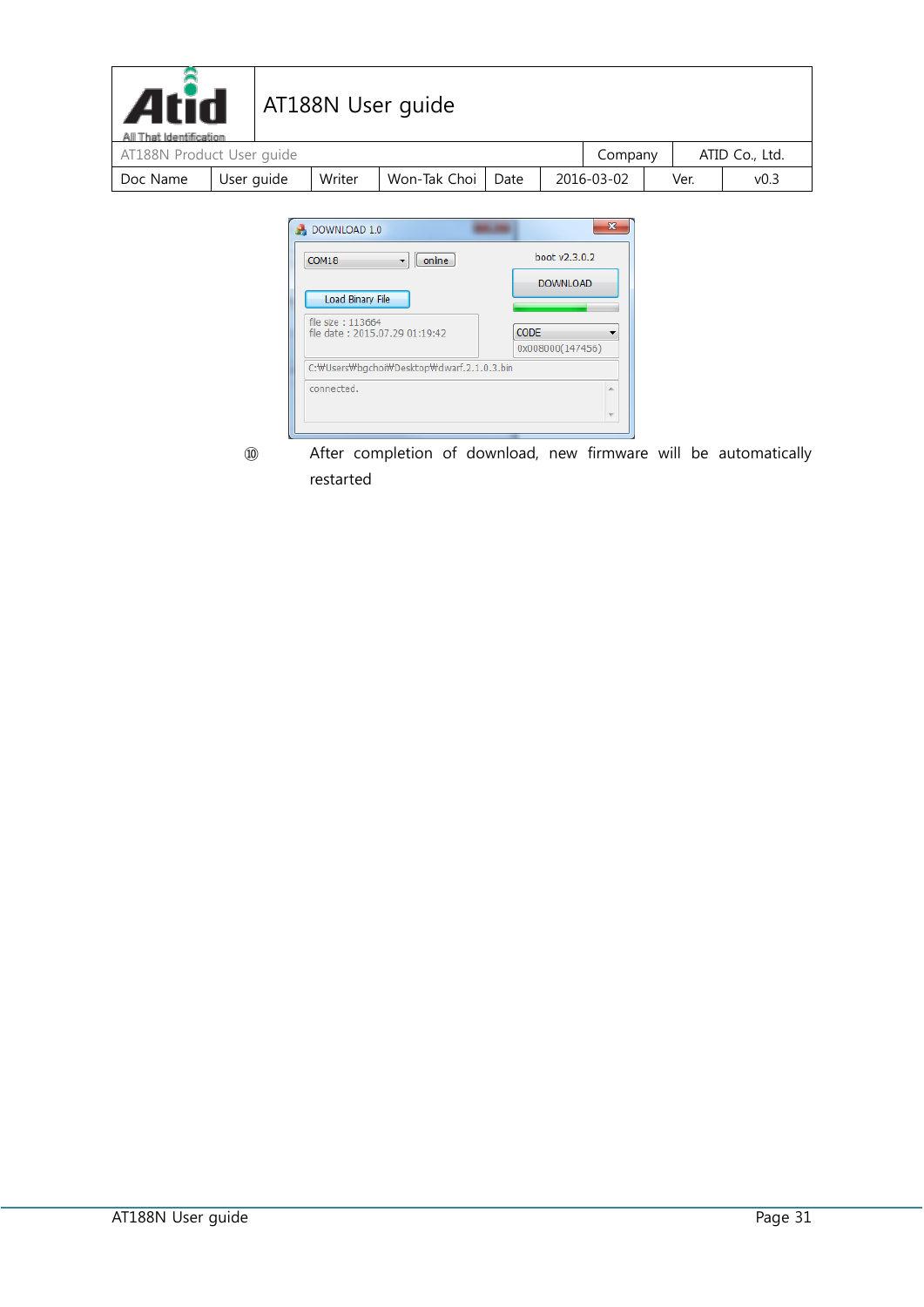| <b>Atid</b>                                          |            |  |        | AT188N User guide |      |            |         |      |                  |                |
|------------------------------------------------------|------------|--|--------|-------------------|------|------------|---------|------|------------------|----------------|
| All That Identification<br>AT188N Product User guide |            |  |        |                   |      |            | Company |      |                  | ATID Co., Ltd. |
| Doc Name                                             | User guide |  | Writer | Won-Tak Choi      | Date | 2016-03-02 |         | Ver. | v <sub>0.3</sub> |                |



⑩ After completion of download, new firmware will be automatically restarted